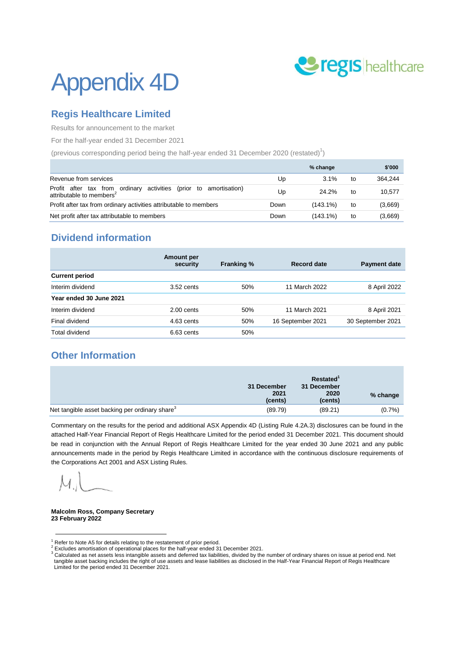

# Appendix 4D

# **Regis Healthcare Limited**

Results for announcement to the market

For the half-year ended 31 December 2021

(previous corresponding period being the half-year ended 31 December 2020 (restated) $^1$ )

|                                                                                                                 |      | % change    |    | \$'000  |
|-----------------------------------------------------------------------------------------------------------------|------|-------------|----|---------|
| Revenue from services                                                                                           | Up   | 3.1%        | to | 364.244 |
| Profit after tax from ordinary<br>activities<br>(prior to amortisation)<br>attributable to members <sup>2</sup> | Up   | 24.2%       | to | 10.577  |
| Profit after tax from ordinary activities attributable to members                                               | Down | $(143.1\%)$ | to | (3,669) |
| Net profit after tax attributable to members                                                                    | Down | $(143.1\%)$ | to | (3,669) |

# **Dividend information**

|                         | Amount per<br>security | <b>Franking %</b> | <b>Record date</b> | <b>Payment date</b> |
|-------------------------|------------------------|-------------------|--------------------|---------------------|
| <b>Current period</b>   |                        |                   |                    |                     |
| Interim dividend        | $3.52$ cents           | 50%               | 11 March 2022      | 8 April 2022        |
| Year ended 30 June 2021 |                        |                   |                    |                     |
| Interim dividend        | $2.00$ cents           | 50%               | 11 March 2021      | 8 April 2021        |
| Final dividend          | 4.63 cents             | 50%               | 16 September 2021  | 30 September 2021   |
| <b>Total dividend</b>   | $6.63$ cents           | 50%               |                    |                     |
|                         |                        |                   |                    |                     |

# **Other Information**

|                                                            | 31 December     | Restated <sup>1</sup><br>31 December |          |
|------------------------------------------------------------|-----------------|--------------------------------------|----------|
|                                                            | 2021<br>(cents) | 2020<br>(cents)                      | % change |
| Net tangible asset backing per ordinary share <sup>3</sup> | (89.79)         | (89.21)                              | (0.7%    |

Commentary on the results for the period and additional ASX Appendix 4D (Listing Rule 4.2A.3) disclosures can be found in the attached Half-Year Financial Report of Regis Healthcare Limited for the period ended 31 December 2021. This document should be read in conjunction with the Annual Report of Regis Healthcare Limited for the year ended 30 June 2021 and any public announcements made in the period by Regis Healthcare Limited in accordance with the continuous disclosure requirements of the Corporations Act 2001 and ASX Listing Rules.

<u>.</u>

**Malcolm Ross, Company Secretary 23 February 2022**

 $1$  Refer to Note A5 for details relating to the restatement of prior period.

 $2$  Excludes amortisation of operational places for the half-year ended 31 December 2021.

<sup>3</sup> Calculated as net assets less intangible assets and deferred tax liabilities, divided by the number of ordinary shares on issue at period end. Net tangible asset backing includes the right of use assets and lease liabilities as disclosed in the Half-Year Financial Report of Regis Healthcare Limited for the period ended 31 December 2021.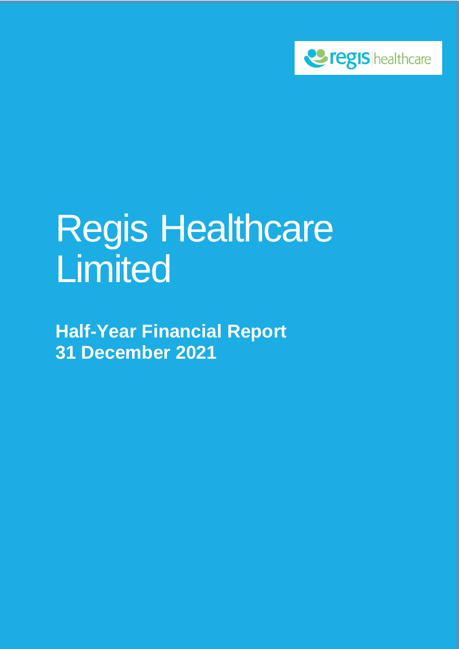

# Regis Healthcare Limited

**Half-Year Financial Report 31 December 2021**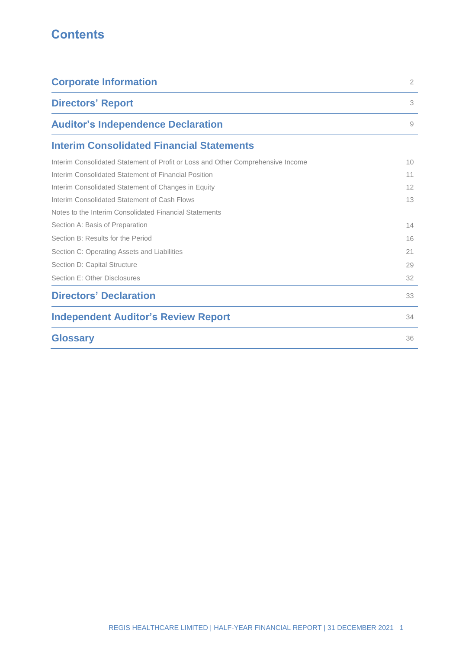# **Contents**

| <b>Corporate Information</b>                                                    | $\overline{2}$ |
|---------------------------------------------------------------------------------|----------------|
| <b>Directors' Report</b>                                                        | 3              |
| <b>Auditor's Independence Declaration</b>                                       | 9              |
| <b>Interim Consolidated Financial Statements</b>                                |                |
| Interim Consolidated Statement of Profit or Loss and Other Comprehensive Income | 10             |
| Interim Consolidated Statement of Financial Position                            | 11             |
| Interim Consolidated Statement of Changes in Equity                             | 12             |
| Interim Consolidated Statement of Cash Flows                                    | 13             |
| Notes to the Interim Consolidated Financial Statements                          |                |
| Section A: Basis of Preparation                                                 | 14             |
| Section B: Results for the Period                                               | 16             |
| Section C: Operating Assets and Liabilities                                     | 21             |
| Section D: Capital Structure                                                    | 29             |
| Section E: Other Disclosures                                                    | 32             |
| <b>Directors' Declaration</b>                                                   | 33             |
| <b>Independent Auditor's Review Report</b>                                      | 34             |
| <b>Glossary</b>                                                                 | 36             |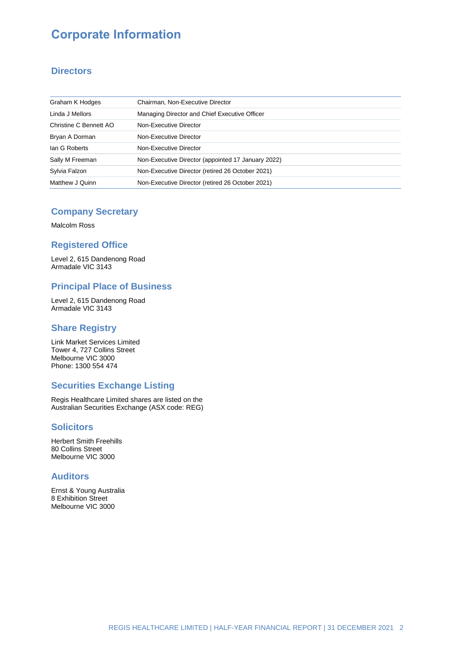# **Corporate Information**

### **Directors**

| Graham K Hodges        | Chairman, Non-Executive Director                   |
|------------------------|----------------------------------------------------|
| Linda J Mellors        | Managing Director and Chief Executive Officer      |
| Christine C Bennett AO | Non-Executive Director                             |
| Bryan A Dorman         | Non-Executive Director                             |
| lan G Roberts          | Non-Executive Director                             |
| Sally M Freeman        | Non-Executive Director (appointed 17 January 2022) |
| Sylvia Falzon          | Non-Executive Director (retired 26 October 2021)   |
| Matthew J Quinn        | Non-Executive Director (retired 26 October 2021)   |

### **Company Secretary**

Malcolm Ross

### **Registered Office**

Level 2, 615 Dandenong Road Armadale VIC 3143

### **Principal Place of Business**

Level 2, 615 Dandenong Road Armadale VIC 3143

### **Share Registry**

Link Market Services Limited Tower 4, 727 Collins Street Melbourne VIC 3000 Phone: 1300 554 474

### **Securities Exchange Listing**

Regis Healthcare Limited shares are listed on the Australian Securities Exchange (ASX code: REG)

### **Solicitors**

Herbert Smith Freehills 80 Collins Street Melbourne VIC 3000

### **Auditors**

Ernst & Young Australia 8 Exhibition Street Melbourne VIC 3000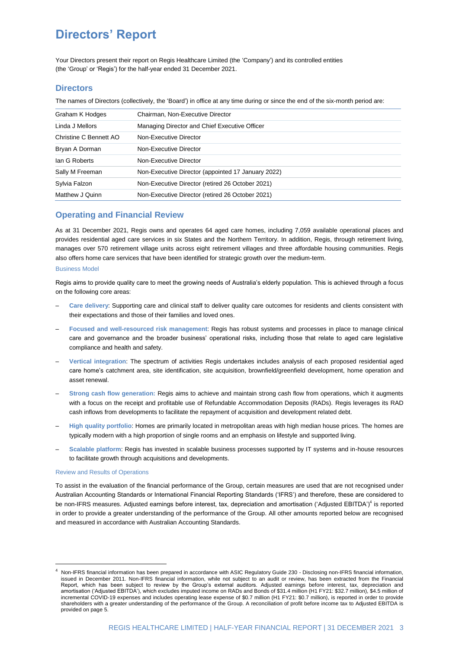Your Directors present their report on Regis Healthcare Limited (the 'Company') and its controlled entities (the 'Group' or 'Regis') for the half-year ended 31 December 2021.

#### **Directors**

The names of Directors (collectively, the 'Board') in office at any time during or since the end of the six-month period are:

| Graham K Hodges        | Chairman, Non-Executive Director                   |
|------------------------|----------------------------------------------------|
| Linda J Mellors        | Managing Director and Chief Executive Officer      |
| Christine C Bennett AO | Non-Executive Director                             |
| Bryan A Dorman         | Non-Executive Director                             |
| lan G Roberts          | Non-Executive Director                             |
| Sally M Freeman        | Non-Executive Director (appointed 17 January 2022) |
| Sylvia Falzon          | Non-Executive Director (retired 26 October 2021)   |
| Matthew J Quinn        | Non-Executive Director (retired 26 October 2021)   |
|                        |                                                    |

#### **Operating and Financial Review**

As at 31 December 2021, Regis owns and operates 64 aged care homes, including 7,059 available operational places and provides residential aged care services in six States and the Northern Territory. In addition, Regis, through retirement living, manages over 570 retirement village units across eight retirement villages and three affordable housing communities. Regis also offers home care services that have been identified for strategic growth over the medium-term.

#### Business Model

Regis aims to provide quality care to meet the growing needs of Australia's elderly population. This is achieved through a focus on the following core areas:

- ‒ **Care delivery**: Supporting care and clinical staff to deliver quality care outcomes for residents and clients consistent with their expectations and those of their families and loved ones.
- ‒ **Focused and well-resourced risk management**: Regis has robust systems and processes in place to manage clinical care and governance and the broader business' operational risks, including those that relate to aged care legislative compliance and health and safety.
- ‒ **Vertical integration**: The spectrum of activities Regis undertakes includes analysis of each proposed residential aged care home's catchment area, site identification, site acquisition, brownfield/greenfield development, home operation and asset renewal.
- ‒ **Strong cash flow generation:** Regis aims to achieve and maintain strong cash flow from operations, which it augments with a focus on the receipt and profitable use of Refundable Accommodation Deposits (RADs). Regis leverages its RAD cash inflows from developments to facilitate the repayment of acquisition and development related debt.
- ‒ **High quality portfolio**: Homes are primarily located in metropolitan areas with high median house prices. The homes are typically modern with a high proportion of single rooms and an emphasis on lifestyle and supported living.
- ‒ **Scalable platform**: Regis has invested in scalable business processes supported by IT systems and in-house resources to facilitate growth through acquisitions and developments.

#### Review and Results of Operations

<u>.</u>

To assist in the evaluation of the financial performance of the Group, certain measures are used that are not recognised under Australian Accounting Standards or International Financial Reporting Standards ('IFRS') and therefore, these are considered to be non-IFRS measures. Adjusted earnings before interest, tax, depreciation and amortisation ('Adjusted EBITDA')<sup>4</sup> is reported in order to provide a greater understanding of the performance of the Group. All other amounts reported below are recognised and measured in accordance with Australian Accounting Standards.

Non-IFRS financial information has been prepared in accordance with ASIC Regulatory Guide 230 - Disclosing non-IFRS financial information, issued in December 2011. Non-IFRS financial information, while not subject to an audit or review, has been extracted from the Financial Report, which has been subject to review by the Group's external auditors. Adjusted earnings before interest, tax, depreciation and amortisation ('Adjusted EBITDA'), which excludes imputed income on RADs and Bonds of \$31.4 million (H1 FY21: \$32.7 million), \$4.5 million of incremental COVID-19 expenses and includes operating lease expense of \$0.7 million (H1 FY21: \$0.7 million), is reported in order to provide shareholders with a greater understanding of the performance of the Group. A reconciliation of profit before income tax to Adjusted EBITDA is provided on page 5.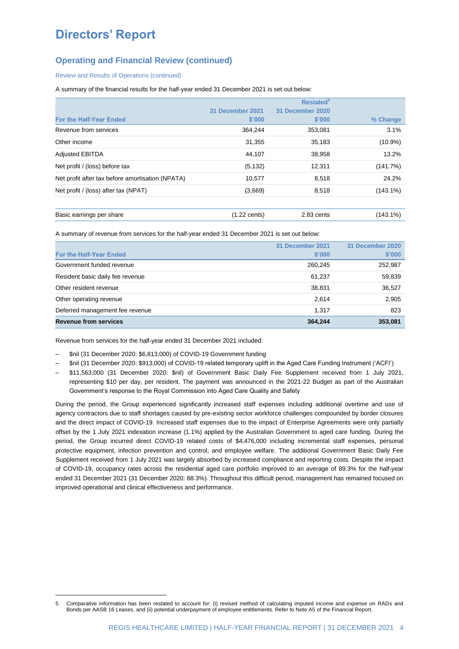### **Operating and Financial Review (continued)**

Review and Results of Operations (continued)

A summary of the financial results for the half-year ended 31 December 2021 is set out below:

|                                                  |                        | Restated <sup>5</sup> |             |  |  |
|--------------------------------------------------|------------------------|-----------------------|-------------|--|--|
|                                                  | 31 December 2021       | 31 December 2020      |             |  |  |
| <b>For the Half-Year Ended</b>                   | \$'000                 | \$'000                | % Change    |  |  |
| Revenue from services                            | 364,244                | 353,081               | 3.1%        |  |  |
| Other income                                     | 31,355                 | 35,183                | $(10.9\%)$  |  |  |
| <b>Adjusted EBITDA</b>                           | 44.107                 | 38,958                | 13.2%       |  |  |
| Net profit / (loss) before tax                   | (5, 132)               | 12,311                | (141.7%)    |  |  |
| Net profit after tax before amortisation (NPATA) | 10,577                 | 8,518                 | 24.2%       |  |  |
| Net profit / (loss) after tax (NPAT)             | (3,669)                | 8,518                 | $(143.1\%)$ |  |  |
| Basic earnings per share                         | $(1.22 \text{ cents})$ | 2.83 cents            | $(143.1\%)$ |  |  |

A summary of revenue from services for the half-year ended 31 December 2021 is set out below:

|                                  | 31 December 2021 | 31 December 2020 |
|----------------------------------|------------------|------------------|
| <b>For the Half-Year Ended</b>   | \$'000           | \$'000           |
| Government funded revenue        | 260,245          | 252,987          |
| Resident basic daily fee revenue | 61.237           | 59,839           |
| Other resident revenue           | 38,831           | 36,527           |
| Other operating revenue          | 2.614            | 2,905            |
| Deferred management fee revenue  | 1.317            | 823              |
| <b>Revenue from services</b>     | 364,244          | 353,081          |

Revenue from services for the half-year ended 31 December 2021 included:

‒ \$nil (31 December 2020: \$6,813,000) of COVID-19 Government funding

<u>.</u>

- ‒ \$nil (31 December 2020: \$913,000) of COVID-19 related temporary uplift in the Aged Care Funding Instrument ('ACFI')
- ‒ \$11,563,000 (31 December 2020: \$nil) of Government Basic Daily Fee Supplement received from 1 July 2021, representing \$10 per day, per resident. The payment was announced in the 2021-22 Budget as part of the Australian Government's response to the Royal Commission into Aged Care Quality and Safety

During the period, the Group experienced significantly increased staff expenses including additional overtime and use of agency contractors due to staff shortages caused by pre-existing sector workforce challenges compounded by border closures and the direct impact of COVID-19. Increased staff expenses due to the impact of Enterprise Agreements were only partially offset by the 1 July 2021 indexation increase (1.1%) applied by the Australian Government to aged care funding. During the period, the Group incurred direct COVID-19 related costs of \$4,476,000 including incremental staff expenses, personal protective equipment, infection prevention and control, and employee welfare. The additional Government Basic Daily Fee Supplement received from 1 July 2021 was largely absorbed by increased compliance and reporting costs. Despite the impact of COVID-19, occupancy rates across the residential aged care portfolio improved to an average of 89.3% for the half-year ended 31 December 2021 (31 December 2020: 88.3%). Throughout this difficult period, management has remained focused on improved operational and clinical effectiveness and performance.

<sup>5</sup> Comparative information has been restated to account for: (i) revised method of calculating imputed income and expense on RADs and Bonds per AASB 16 *Leases*, and (ii) potential underpayment of employee entitlements. Refer to Note A5 of the Financial Report.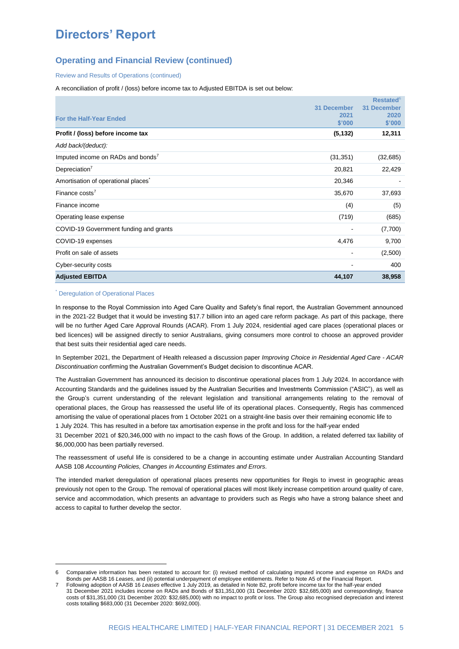### **Operating and Financial Review (continued)**

Review and Results of Operations (continued)

A reconciliation of profit / (loss) before income tax to Adjusted EBITDA is set out below:

|                                                 |                              | <b>Restated</b> <sup>6</sup> |
|-------------------------------------------------|------------------------------|------------------------------|
|                                                 | <b>31 December</b>           | <b>31 December</b>           |
| For the Half-Year Ended                         | 2021                         | 2020                         |
|                                                 | \$'000                       | \$'000                       |
| Profit / (loss) before income tax               | (5, 132)                     | 12,311                       |
| Add back/(deduct):                              |                              |                              |
| Imputed income on RADs and bonds <sup>7</sup>   | (31, 351)                    | (32, 685)                    |
| Depreciation $7$                                | 20,821                       | 22,429                       |
| Amortisation of operational places <sup>7</sup> | 20,346                       |                              |
| Finance costs <sup>7</sup>                      | 35,670                       | 37,693                       |
| Finance income                                  | (4)                          | (5)                          |
| Operating lease expense                         | (719)                        | (685)                        |
| COVID-19 Government funding and grants          | $\qquad \qquad \blacksquare$ | (7,700)                      |
| COVID-19 expenses                               | 4,476                        | 9,700                        |
| Profit on sale of assets                        | -                            | (2,500)                      |
| Cyber-security costs                            |                              | 400                          |
| <b>Adjusted EBITDA</b>                          | 44,107                       | 38,958                       |

#### \* Deregulation of Operational Places

-

In response to the Royal Commission into Aged Care Quality and Safety's final report, the Australian Government announced in the 2021-22 Budget that it would be investing \$17.7 billion into an aged care reform package. As part of this package, there will be no further Aged Care Approval Rounds (ACAR). From 1 July 2024, residential aged care places (operational places or bed licences) will be assigned directly to senior Australians, giving consumers more control to choose an approved provider that best suits their residential aged care needs.

In September 2021, the Department of Health released a discussion paper *Improving Choice in Residential Aged Care - ACAR Discontinuation* confirming the Australian Government's Budget decision to discontinue ACAR.

The Australian Government has announced its decision to discontinue operational places from 1 July 2024. In accordance with Accounting Standards and the guidelines issued by the Australian Securities and Investments Commission ("ASIC"), as well as the Group's current understanding of the relevant legislation and transitional arrangements relating to the removal of operational places, the Group has reassessed the useful life of its operational places. Consequently, Regis has commenced amortising the value of operational places from 1 October 2021 on a straight-line basis over their remaining economic life to 1 July 2024. This has resulted in a before tax amortisation expense in the profit and loss for the half-year ended

31 December 2021 of \$20,346,000 with no impact to the cash flows of the Group. In addition, a related deferred tax liability of \$6,000,000 has been partially reversed.

The reassessment of useful life is considered to be a change in accounting estimate under Australian Accounting Standard AASB 108 *Accounting Policies, Changes in Accounting Estimates and Errors.*

The intended market deregulation of operational places presents new opportunities for Regis to invest in geographic areas previously not open to the Group. The removal of operational places will most likely increase competition around quality of care, service and accommodation, which presents an advantage to providers such as Regis who have a strong balance sheet and access to capital to further develop the sector.

<sup>6</sup> Comparative information has been restated to account for: (i) revised method of calculating imputed income and expense on RADs and Bonds per AASB 16 *Leases*, and (ii) potential underpayment of employee entitlements. Refer to Note A5 of the Financial Report.

<sup>7</sup> Following adoption of AASB 16 *Leases* effective 1 July 2019, as detailed in Note B2, profit before income tax for the half-year ended 31 December 2021 includes income on RADs and Bonds of \$31,351,000 (31 December 2020: \$32,685,000) and correspondingly, finance costs of \$31,351,000 (31 December 2020: \$32,685,000) with no impact to profit or loss. The Group also recognised depreciation and interest costs totalling \$683,000 (31 December 2020: \$692,000).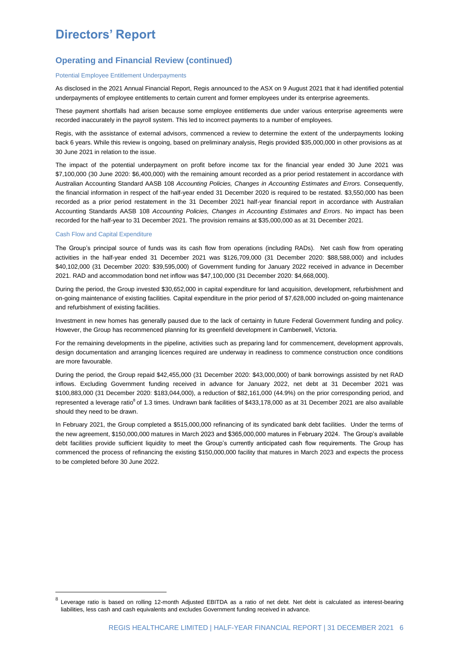### **Operating and Financial Review (continued)**

#### Potential Employee Entitlement Underpayments

As disclosed in the 2021 Annual Financial Report, Regis announced to the ASX on 9 August 2021 that it had identified potential underpayments of employee entitlements to certain current and former employees under its enterprise agreements.

These payment shortfalls had arisen because some employee entitlements due under various enterprise agreements were recorded inaccurately in the payroll system. This led to incorrect payments to a number of employees.

Regis, with the assistance of external advisors, commenced a review to determine the extent of the underpayments looking back 6 years. While this review is ongoing, based on preliminary analysis, Regis provided \$35,000,000 in other provisions as at 30 June 2021 in relation to the issue.

The impact of the potential underpayment on profit before income tax for the financial year ended 30 June 2021 was \$7,100,000 (30 June 2020: \$6,400,000) with the remaining amount recorded as a prior period restatement in accordance with Australian Accounting Standard AASB 108 *Accounting Policies, Changes in Accounting Estimates and Errors.* Consequently, the financial information in respect of the half-year ended 31 December 2020 is required to be restated. \$3,550,000 has been recorded as a prior period restatement in the 31 December 2021 half-year financial report in accordance with Australian Accounting Standards AASB 108 *Accounting Policies, Changes in Accounting Estimates and Errors*. No impact has been recorded for the half-year to 31 December 2021. The provision remains at \$35,000,000 as at 31 December 2021.

#### Cash Flow and Capital Expenditure

<u>.</u>

The Group's principal source of funds was its cash flow from operations (including RADs). Net cash flow from operating activities in the half-year ended 31 December 2021 was \$126,709,000 (31 December 2020: \$88,588,000) and includes \$40,102,000 (31 December 2020: \$39,595,000) of Government funding for January 2022 received in advance in December 2021. RAD and accommodation bond net inflow was \$47,100,000 (31 December 2020: \$4,668,000).

During the period, the Group invested \$30,652,000 in capital expenditure for land acquisition, development, refurbishment and on-going maintenance of existing facilities. Capital expenditure in the prior period of \$7,628,000 included on-going maintenance and refurbishment of existing facilities.

Investment in new homes has generally paused due to the lack of certainty in future Federal Government funding and policy. However, the Group has recommenced planning for its greenfield development in Camberwell, Victoria.

For the remaining developments in the pipeline, activities such as preparing land for commencement, development approvals, design documentation and arranging licences required are underway in readiness to commence construction once conditions are more favourable.

During the period, the Group repaid \$42,455,000 (31 December 2020: \$43,000,000) of bank borrowings assisted by net RAD inflows. Excluding Government funding received in advance for January 2022, net debt at 31 December 2021 was \$100,883,000 (31 December 2020: \$183,044,000), a reduction of \$82,161,000 (44.9%) on the prior corresponding period, and represented a leverage ratio<sup>8</sup> of 1.3 times. Undrawn bank facilities of \$433,178,000 as at 31 December 2021 are also available should they need to be drawn.

In February 2021, the Group completed a \$515,000,000 refinancing of its syndicated bank debt facilities. Under the terms of the new agreement, \$150,000,000 matures in March 2023 and \$365,000,000 matures in February 2024. The Group's available debt facilities provide sufficient liquidity to meet the Group's currently anticipated cash flow requirements. The Group has commenced the process of refinancing the existing \$150,000,000 facility that matures in March 2023 and expects the process to be completed before 30 June 2022.

<sup>8</sup> Leverage ratio is based on rolling 12-month Adjusted EBITDA as a ratio of net debt. Net debt is calculated as interest-bearing liabilities, less cash and cash equivalents and excludes Government funding received in advance.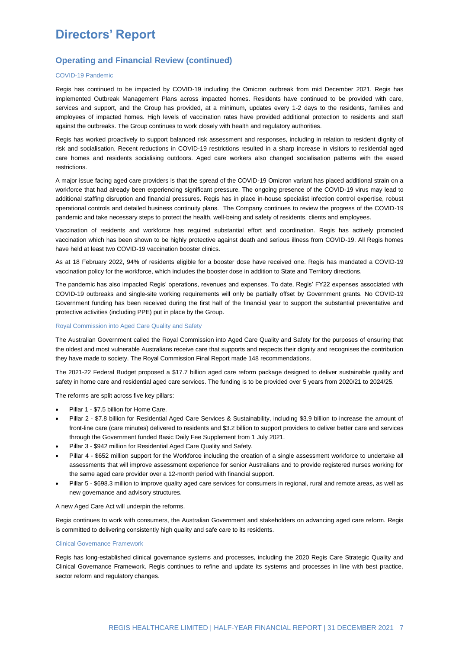### **Operating and Financial Review (continued)**

#### COVID-19 Pandemic

Regis has continued to be impacted by COVID-19 including the Omicron outbreak from mid December 2021. Regis has implemented Outbreak Management Plans across impacted homes. Residents have continued to be provided with care, services and support, and the Group has provided, at a minimum, updates every 1-2 days to the residents, families and employees of impacted homes. High levels of vaccination rates have provided additional protection to residents and staff against the outbreaks. The Group continues to work closely with health and regulatory authorities.

Regis has worked proactively to support balanced risk assessment and responses, including in relation to resident dignity of risk and socialisation. Recent reductions in COVID-19 restrictions resulted in a sharp increase in visitors to residential aged care homes and residents socialising outdoors. Aged care workers also changed socialisation patterns with the eased restrictions.

A major issue facing aged care providers is that the spread of the COVID-19 Omicron variant has placed additional strain on a workforce that had already been experiencing significant pressure. The ongoing presence of the COVID-19 virus may lead to additional staffing disruption and financial pressures. Regis has in place in-house specialist infection control expertise, robust operational controls and detailed business continuity plans. The Company continues to review the progress of the COVID-19 pandemic and take necessary steps to protect the health, well-being and safety of residents, clients and employees.

Vaccination of residents and workforce has required substantial effort and coordination. Regis has actively promoted vaccination which has been shown to be highly protective against death and serious illness from COVID-19. All Regis homes have held at least two COVID-19 vaccination booster clinics.

As at 18 February 2022, 94% of residents eligible for a booster dose have received one. Regis has mandated a COVID-19 vaccination policy for the workforce, which includes the booster dose in addition to State and Territory directions.

The pandemic has also impacted Regis' operations, revenues and expenses. To date, Regis' FY22 expenses associated with COVID-19 outbreaks and single-site working requirements will only be partially offset by Government grants. No COVID-19 Government funding has been received during the first half of the financial year to support the substantial preventative and protective activities (including PPE) put in place by the Group.

#### Royal Commission into Aged Care Quality and Safety

The Australian Government called the Royal Commission into Aged Care Quality and Safety for the purposes of ensuring that the oldest and most vulnerable Australians receive care that supports and respects their dignity and recognises the contribution they have made to society. The Royal Commission Final Report made 148 recommendations.

The 2021-22 Federal Budget proposed a \$17.7 billion aged care reform package designed to deliver sustainable quality and safety in home care and residential aged care services. The funding is to be provided over 5 years from 2020/21 to 2024/25.

The reforms are split across five key pillars:

- Pillar 1 \$7.5 billion for Home Care.
- Pillar 2 \$7.8 billion for Residential Aged Care Services & Sustainability, including \$3.9 billion to increase the amount of front-line care (care minutes) delivered to residents and \$3.2 billion to support providers to deliver better care and services through the Government funded Basic Daily Fee Supplement from 1 July 2021.
- Pillar 3 \$942 million for Residential Aged Care Quality and Safety.
- Pillar 4 \$652 million support for the Workforce including the creation of a single assessment workforce to undertake all assessments that will improve assessment experience for senior Australians and to provide registered nurses working for the same aged care provider over a 12-month period with financial support.
- Pillar 5 \$698.3 million to improve quality aged care services for consumers in regional, rural and remote areas, as well as new governance and advisory structures.

#### A new Aged Care Act will underpin the reforms.

Regis continues to work with consumers, the Australian Government and stakeholders on advancing aged care reform. Regis is committed to delivering consistently high quality and safe care to its residents.

#### Clinical Governance Framework

Regis has long-established clinical governance systems and processes, including the 2020 Regis Care Strategic Quality and Clinical Governance Framework. Regis continues to refine and update its systems and processes in line with best practice, sector reform and regulatory changes.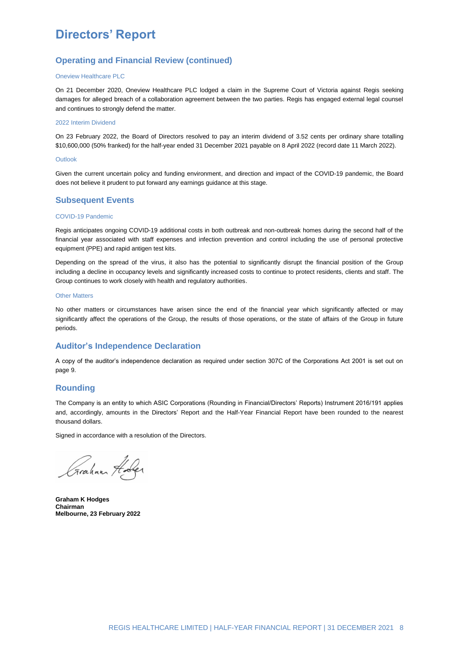### **Operating and Financial Review (continued)**

#### Oneview Healthcare PLC

On 21 December 2020, Oneview Healthcare PLC lodged a claim in the Supreme Court of Victoria against Regis seeking damages for alleged breach of a collaboration agreement between the two parties. Regis has engaged external legal counsel and continues to strongly defend the matter.

#### 2022 Interim Dividend

On 23 February 2022, the Board of Directors resolved to pay an interim dividend of 3.52 cents per ordinary share totalling \$10,600,000 (50% franked) for the half-year ended 31 December 2021 payable on 8 April 2022 (record date 11 March 2022).

#### Outlook

Given the current uncertain policy and funding environment, and direction and impact of the COVID-19 pandemic, the Board does not believe it prudent to put forward any earnings guidance at this stage.

#### **Subsequent Events**

#### COVID-19 Pandemic

Regis anticipates ongoing COVID-19 additional costs in both outbreak and non-outbreak homes during the second half of the financial year associated with staff expenses and infection prevention and control including the use of personal protective equipment (PPE) and rapid antigen test kits.

Depending on the spread of the virus, it also has the potential to significantly disrupt the financial position of the Group including a decline in occupancy levels and significantly increased costs to continue to protect residents, clients and staff. The Group continues to work closely with health and regulatory authorities.

#### Other Matters

No other matters or circumstances have arisen since the end of the financial year which significantly affected or may significantly affect the operations of the Group, the results of those operations, or the state of affairs of the Group in future periods.

#### **Auditor's Independence Declaration**

A copy of the auditor's independence declaration as required under section 307C of the Corporations Act 2001 is set out on page 9.

#### **Rounding**

The Company is an entity to which ASIC Corporations (Rounding in Financial/Directors' Reports) Instrument 2016/191 applies and, accordingly, amounts in the Directors' Report and the Half-Year Financial Report have been rounded to the nearest thousand dollars.

Signed in accordance with a resolution of the Directors.

Graham Holes

**Graham K Hodges Chairman Melbourne, 23 February 2022**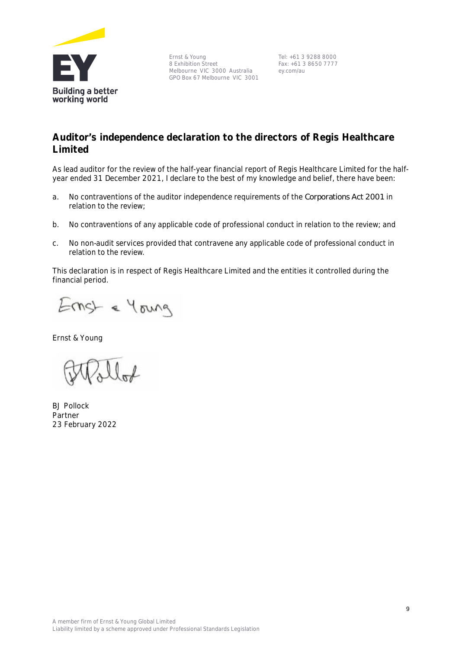

Ernst & Young 8 Exhibition Street Melbourne VIC 3000 Australia GPO Box 67 Melbourne VIC 3001

Tel: +61 3 9288 8000 Fax: +61 3 8650 7777 ey.com/au

# **Auditor's independence declaration to the directors of Regis Healthcare Limited**

As lead auditor for the review of the half-year financial report of Regis Healthcare Limited for the halfyear ended 31 December 2021, I declare to the best of my knowledge and belief, there have been:

- a. No contraventions of the auditor independence requirements of the *Corporations Act 2001* in relation to the review;
- b. No contraventions of any applicable code of professional conduct in relation to the review; and
- c. No non-audit services provided that contravene any applicable code of professional conduct in relation to the review.

This declaration is in respect of Regis Healthcare Limited and the entities it controlled during the financial period.

Ernst & Young

Ernst & Young

BJ Pollock Partner 23 February 2022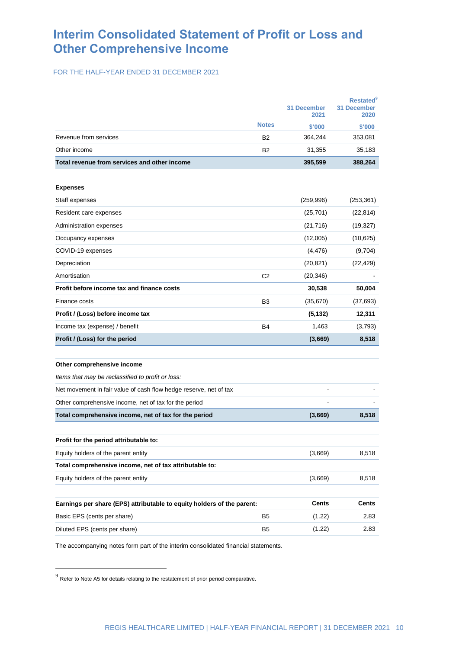# **Interim Consolidated Statement of Profit or Loss and Other Comprehensive Income**

FOR THE HALF-YEAR ENDED 31 DECEMBER 2021

|                                                                        | <b>31 December</b><br>2021 |              | <b>Restated</b> <sup>9</sup><br><b>31 December</b><br>2020 |  |
|------------------------------------------------------------------------|----------------------------|--------------|------------------------------------------------------------|--|
|                                                                        | <b>Notes</b>               | \$'000       | \$'000                                                     |  |
| Revenue from services                                                  | <b>B2</b>                  | 364,244      | 353,081                                                    |  |
| Other income                                                           | B <sub>2</sub>             | 31,355       | 35,183                                                     |  |
| Total revenue from services and other income                           |                            | 395,599      | 388,264                                                    |  |
| <b>Expenses</b>                                                        |                            |              |                                                            |  |
| Staff expenses                                                         |                            | (259, 996)   | (253, 361)                                                 |  |
| Resident care expenses                                                 |                            | (25, 701)    | (22, 814)                                                  |  |
| Administration expenses                                                |                            | (21, 716)    | (19, 327)                                                  |  |
| Occupancy expenses                                                     |                            | (12,005)     | (10, 625)                                                  |  |
| COVID-19 expenses                                                      |                            | (4, 476)     | (9,704)                                                    |  |
| Depreciation                                                           |                            | (20, 821)    | (22, 429)                                                  |  |
| Amortisation                                                           | C <sub>2</sub>             | (20, 346)    |                                                            |  |
| Profit before income tax and finance costs                             |                            | 30,538       | 50,004                                                     |  |
| Finance costs                                                          | B <sub>3</sub>             | (35,670)     | (37, 693)                                                  |  |
| Profit / (Loss) before income tax                                      |                            | (5, 132)     | 12,311                                                     |  |
| Income tax (expense) / benefit                                         | <b>B4</b>                  | 1,463        | (3,793)                                                    |  |
| Profit / (Loss) for the period                                         |                            | (3,669)      | 8,518                                                      |  |
|                                                                        |                            |              |                                                            |  |
| Other comprehensive income                                             |                            |              |                                                            |  |
| Items that may be reclassified to profit or loss:                      |                            |              |                                                            |  |
| Net movement in fair value of cash flow hedge reserve, net of tax      |                            |              |                                                            |  |
| Other comprehensive income, net of tax for the period                  |                            |              |                                                            |  |
| Total comprehensive income, net of tax for the period                  |                            | (3,669)      | 8,518                                                      |  |
| Profit for the period attributable to:                                 |                            |              |                                                            |  |
| Equity holders of the parent entity                                    |                            | (3,669)      | 8,518                                                      |  |
| Total comprehensive income, net of tax attributable to:                |                            |              |                                                            |  |
| Equity holders of the parent entity                                    |                            | (3,669)      | 8,518                                                      |  |
|                                                                        |                            |              |                                                            |  |
| Earnings per share (EPS) attributable to equity holders of the parent: |                            | <b>Cents</b> | <b>Cents</b>                                               |  |
| Basic EPS (cents per share)                                            | B <sub>5</sub>             | (1.22)       | 2.83                                                       |  |
| Diluted EPS (cents per share)                                          | B <sub>5</sub>             | (1.22)       | 2.83                                                       |  |
|                                                                        |                            |              |                                                            |  |

The accompanying notes form part of the interim consolidated financial statements.

-

 $9$  Refer to Note A5 for details relating to the restatement of prior period comparative.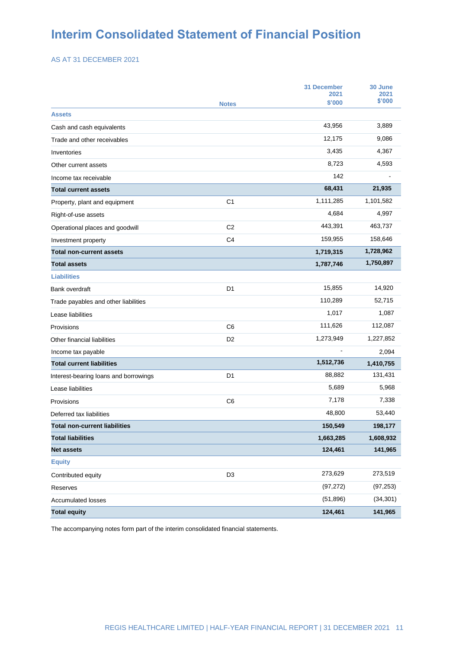# **Interim Consolidated Statement of Financial Position**

AS AT 31 DECEMBER 2021

|                                       |                | <b>31 December</b><br>2021 | 30 June<br>2021 |
|---------------------------------------|----------------|----------------------------|-----------------|
|                                       | <b>Notes</b>   | \$'000                     | \$'000          |
| <b>Assets</b>                         |                |                            |                 |
| Cash and cash equivalents             |                | 43,956                     | 3,889           |
| Trade and other receivables           |                | 12,175                     | 9,086           |
| Inventories                           |                | 3,435                      | 4,367           |
| Other current assets                  |                | 8,723                      | 4,593           |
| Income tax receivable                 |                | 142                        |                 |
| <b>Total current assets</b>           |                | 68,431                     | 21,935          |
| Property, plant and equipment         | C <sub>1</sub> | 1,111,285                  | 1,101,582       |
| Right-of-use assets                   |                | 4,684                      | 4,997           |
| Operational places and goodwill       | C <sub>2</sub> | 443,391                    | 463,737         |
| Investment property                   | C4             | 159,955                    | 158,646         |
| <b>Total non-current assets</b>       |                | 1,719,315                  | 1,728,962       |
| <b>Total assets</b>                   |                | 1,787,746                  | 1,750,897       |
| <b>Liabilities</b>                    |                |                            |                 |
| Bank overdraft                        | D <sub>1</sub> | 15,855                     | 14,920          |
| Trade payables and other liabilities  |                | 110,289                    | 52,715          |
| Lease liabilities                     |                | 1,017                      | 1,087           |
| Provisions                            | C <sub>6</sub> | 111,626                    | 112,087         |
| Other financial liabilities           | D <sub>2</sub> | 1,273,949                  | 1,227,852       |
| Income tax payable                    |                |                            | 2,094           |
| <b>Total current liabilities</b>      |                | 1,512,736                  | 1,410,755       |
| Interest-bearing loans and borrowings | D <sub>1</sub> | 88,882                     | 131,431         |
| Lease liabilities                     |                | 5,689                      | 5,968           |
| Provisions                            | C <sub>6</sub> | 7,178                      | 7,338           |
| Deferred tax liabilities              |                | 48,800                     | 53,440          |
| <b>Total non-current liabilities</b>  |                | 150,549                    | 198,177         |
| <b>Total liabilities</b>              |                | 1,663,285                  | 1,608,932       |
| <b>Net assets</b>                     |                | 124,461                    | 141,965         |
| <b>Equity</b>                         |                |                            |                 |
| Contributed equity                    | D <sub>3</sub> | 273,629                    | 273,519         |
| Reserves                              |                | (97, 272)                  | (97, 253)       |
| Accumulated losses                    |                | (51, 896)                  | (34, 301)       |
| <b>Total equity</b>                   |                | 124,461                    | 141,965         |

The accompanying notes form part of the interim consolidated financial statements.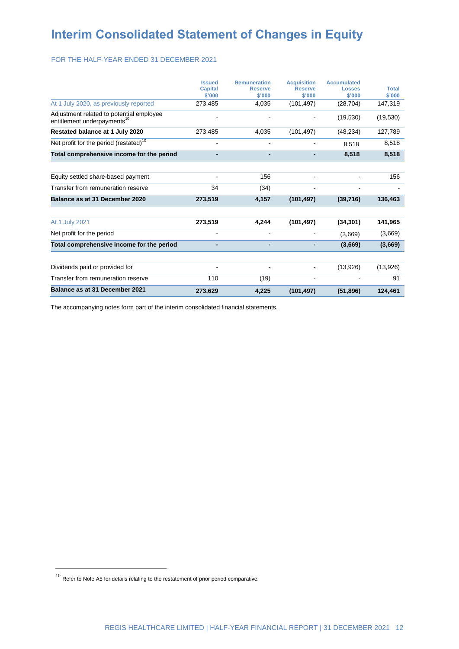# **Interim Consolidated Statement of Changes in Equity**

#### FOR THE HALF-YEAR ENDED 31 DECEMBER 2021

|                                                                                     | <b>Issued</b><br><b>Capital</b><br>\$'000 | <b>Remuneration</b><br><b>Reserve</b><br>\$'000 | <b>Acquisition</b><br><b>Reserve</b><br>\$'000 | <b>Accumulated</b><br><b>Losses</b><br>\$'000 | <b>Total</b><br>\$'000 |
|-------------------------------------------------------------------------------------|-------------------------------------------|-------------------------------------------------|------------------------------------------------|-----------------------------------------------|------------------------|
| At 1 July 2020, as previously reported                                              | 273,485                                   | 4,035                                           | (101, 497)                                     | (28, 704)                                     | 147,319                |
| Adjustment related to potential employee<br>entitlement underpayments <sup>10</sup> |                                           |                                                 |                                                | (19, 530)                                     | (19, 530)              |
| Restated balance at 1 July 2020                                                     | 273,485                                   | 4,035                                           | (101, 497)                                     | (48, 234)                                     | 127,789                |
| Net profit for the period (restated) <sup>10</sup>                                  | $\blacksquare$                            | $\blacksquare$                                  |                                                | 8.518                                         | 8,518                  |
| Total comprehensive income for the period                                           | -                                         |                                                 |                                                | 8,518                                         | 8,518                  |
|                                                                                     |                                           |                                                 |                                                |                                               |                        |
| Equity settled share-based payment                                                  |                                           | 156                                             |                                                |                                               | 156                    |
| Transfer from remuneration reserve                                                  | 34                                        | (34)                                            |                                                |                                               |                        |
| Balance as at 31 December 2020                                                      | 273,519                                   | 4,157                                           | (101, 497)                                     | (39,716)                                      | 136,463                |
| At 1 July 2021                                                                      | 273,519                                   | 4,244                                           | (101, 497)                                     | (34, 301)                                     | 141,965                |
| Net profit for the period                                                           | $\qquad \qquad \blacksquare$              |                                                 |                                                | (3,669)                                       | (3,669)                |
| Total comprehensive income for the period                                           |                                           |                                                 |                                                | (3,669)                                       | (3,669)                |
|                                                                                     |                                           |                                                 |                                                |                                               |                        |
| Dividends paid or provided for                                                      |                                           |                                                 |                                                | (13,926)                                      | (13,926)               |
| Transfer from remuneration reserve                                                  | 110                                       | (19)                                            |                                                |                                               | 91                     |
| Balance as at 31 December 2021                                                      | 273,629                                   | 4,225                                           | (101, 497)                                     | (51, 896)                                     | 124,461                |

The accompanying notes form part of the interim consolidated financial statements.

-

 $10<sup>10</sup>$  Refer to Note A5 for details relating to the restatement of prior period comparative.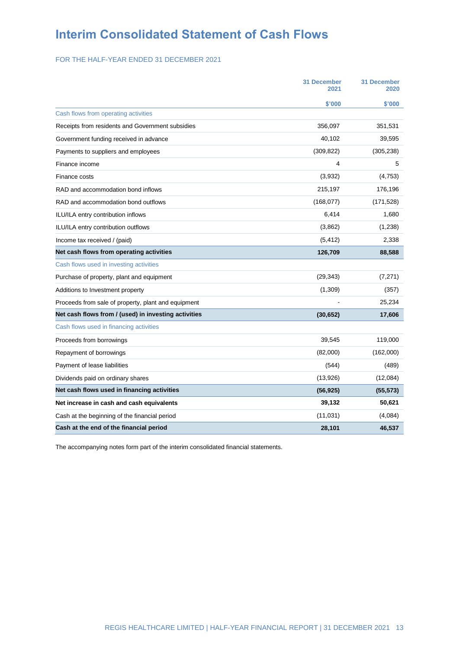# **Interim Consolidated Statement of Cash Flows**

FOR THE HALF-YEAR ENDED 31 DECEMBER 2021

|                                                      | <b>31 December</b><br>2021 | <b>31 December</b><br>2020 |
|------------------------------------------------------|----------------------------|----------------------------|
|                                                      | \$'000                     | \$'000                     |
| Cash flows from operating activities                 |                            |                            |
| Receipts from residents and Government subsidies     | 356,097                    | 351,531                    |
| Government funding received in advance               | 40,102                     | 39,595                     |
| Payments to suppliers and employees                  | (309, 822)                 | (305, 238)                 |
| Finance income                                       | 4                          | 5                          |
| Finance costs                                        | (3,932)                    | (4,753)                    |
| RAD and accommodation bond inflows                   | 215,197                    | 176,196                    |
| RAD and accommodation bond outflows                  | (168, 077)                 | (171, 528)                 |
| ILU/ILA entry contribution inflows                   | 6,414                      | 1,680                      |
| ILU/ILA entry contribution outflows                  | (3,862)                    | (1,238)                    |
| Income tax received / (paid)                         | (5, 412)                   | 2,338                      |
| Net cash flows from operating activities             | 126,709                    | 88,588                     |
| Cash flows used in investing activities              |                            |                            |
| Purchase of property, plant and equipment            | (29, 343)                  | (7, 271)                   |
| Additions to Investment property                     | (1,309)                    | (357)                      |
| Proceeds from sale of property, plant and equipment  |                            | 25,234                     |
| Net cash flows from / (used) in investing activities | (30, 652)                  | 17,606                     |
| Cash flows used in financing activities              |                            |                            |
| Proceeds from borrowings                             | 39,545                     | 119,000                    |
| Repayment of borrowings                              | (82,000)                   | (162,000)                  |
| Payment of lease liabilities                         | (544)                      | (489)                      |
| Dividends paid on ordinary shares                    | (13,926)                   | (12,084)                   |
| Net cash flows used in financing activities          | (56, 925)                  | (55, 573)                  |
| Net increase in cash and cash equivalents            | 39,132                     | 50,621                     |
| Cash at the beginning of the financial period        | (11, 031)                  | (4,084)                    |
| Cash at the end of the financial period              | 28,101                     | 46,537                     |

The accompanying notes form part of the interim consolidated financial statements.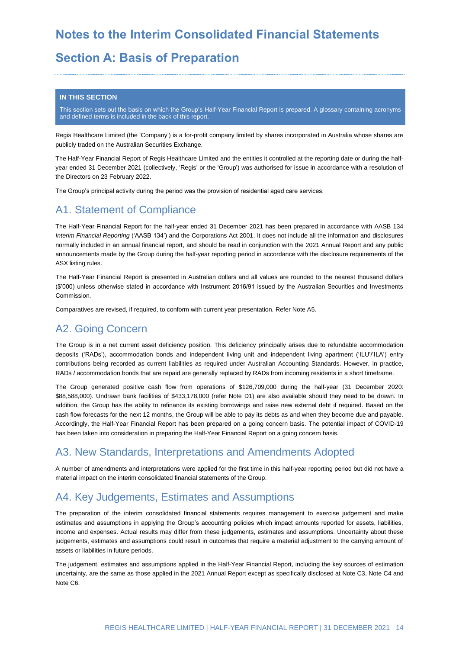# **Notes to the Interim Consolidated Financial Statements**

# **Section A: Basis of Preparation**

#### **IN THIS SECTION**

This section sets out the basis on which the Group's Half-Year Financial Report is prepared. A glossary containing acronyms and defined terms is included in the back of this report.

Regis Healthcare Limited (the 'Company') is a for-profit company limited by shares incorporated in Australia whose shares are publicly traded on the Australian Securities Exchange.

The Half-Year Financial Report of Regis Healthcare Limited and the entities it controlled at the reporting date or during the halfyear ended 31 December 2021 (collectively, 'Regis' or the 'Group') was authorised for issue in accordance with a resolution of the Directors on 23 February 2022.

The Group's principal activity during the period was the provision of residential aged care services.

# A1. Statement of Compliance

The Half-Year Financial Report for the half-year ended 31 December 2021 has been prepared in accordance with AASB 134 *Interim Financial Reporting* ('AASB 134') and the Corporations Act 2001. It does not include all the information and disclosures normally included in an annual financial report, and should be read in conjunction with the 2021 Annual Report and any public announcements made by the Group during the half-year reporting period in accordance with the disclosure requirements of the ASX listing rules.

The Half-Year Financial Report is presented in Australian dollars and all values are rounded to the nearest thousand dollars (\$'000) unless otherwise stated in accordance with Instrument 2016/91 issued by the Australian Securities and Investments Commission.

Comparatives are revised, if required, to conform with current year presentation. Refer Note A5.

# A2. Going Concern

The Group is in a net current asset deficiency position. This deficiency principally arises due to refundable accommodation deposits ('RADs'), accommodation bonds and independent living unit and independent living apartment ('ILU'/'ILA') entry contributions being recorded as current liabilities as required under Australian Accounting Standards. However, in practice, RADs / accommodation bonds that are repaid are generally replaced by RADs from incoming residents in a short timeframe.

The Group generated positive cash flow from operations of \$126,709,000 during the half-year (31 December 2020: \$88,588,000). Undrawn bank facilities of \$433,178,000 (refer Note D1) are also available should they need to be drawn. In addition, the Group has the ability to refinance its existing borrowings and raise new external debt if required. Based on the cash flow forecasts for the next 12 months, the Group will be able to pay its debts as and when they become due and payable. Accordingly, the Half-Year Financial Report has been prepared on a going concern basis. The potential impact of COVID-19 has been taken into consideration in preparing the Half-Year Financial Report on a going concern basis.

# A3. New Standards, Interpretations and Amendments Adopted

A number of amendments and interpretations were applied for the first time in this half-year reporting period but did not have a material impact on the interim consolidated financial statements of the Group.

# A4. Key Judgements, Estimates and Assumptions

The preparation of the interim consolidated financial statements requires management to exercise judgement and make estimates and assumptions in applying the Group's accounting policies which impact amounts reported for assets, liabilities, income and expenses. Actual results may differ from these judgements, estimates and assumptions. Uncertainty about these judgements, estimates and assumptions could result in outcomes that require a material adjustment to the carrying amount of assets or liabilities in future periods.

The judgement, estimates and assumptions applied in the Half-Year Financial Report, including the key sources of estimation uncertainty, are the same as those applied in the 2021 Annual Report except as specifically disclosed at Note C3, Note C4 and Note C6.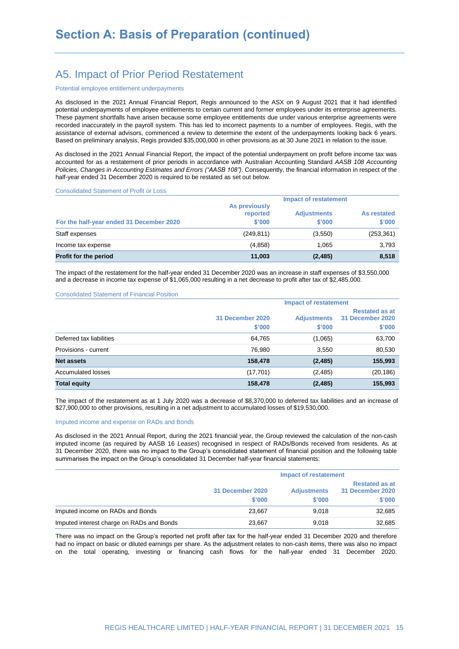# A5. Impact of Prior Period Restatement

#### Potential employee entitlement underpayments

As disclosed in the 2021 Annual Financial Report, Regis announced to the ASX on 9 August 2021 that it had identified potential underpayments of employee entitlements to certain current and former employees under its enterprise agreements. These payment shortfalls have arisen because some employee entitlements due under various enterprise agreements were recorded inaccurately in the payroll system. This has led to incorrect payments to a number of employees. Regis, with the assistance of external advisors, commenced a review to determine the extent of the underpayments looking back 6 years. Based on preliminary analysis, Regis provided \$35,000,000 in other provisions as at 30 June 2021 in relation to the issue.

As disclosed in the 2021 Annual Financial Report, the impact of the potential underpayment on profit before income tax was accounted for as a restatement of prior periods in accordance with Australian Accounting Standard *AASB 108 Accounting Policies, Changes in Accounting Estimates and Errors ("AASB 108")*. Consequently, the financial information in respect of the half-year ended 31 December 2020 is required to be restated as set out below.

#### Consolidated Statement of Profit or Loss

|                                          | <b>Impact of restatement</b>        |                              |                       |  |  |
|------------------------------------------|-------------------------------------|------------------------------|-----------------------|--|--|
| For the half-year ended 31 December 2020 | As previously<br>reported<br>\$'000 | <b>Adjustments</b><br>\$'000 | As restated<br>\$'000 |  |  |
| Staff expenses                           | (249, 811)                          | (3,550)                      | (253, 361)            |  |  |
| Income tax expense                       | (4,858)                             | 1.065                        | 3.793                 |  |  |
| <b>Profit for the period</b>             | 11.003                              | (2, 485)                     | 8,518                 |  |  |

The impact of the restatement for the half-year ended 31 December 2020 was an increase in staff expenses of \$3,550,000 and a decrease in income tax expense of \$1,065,000 resulting in a net decrease to profit after tax of \$2,485,000.

#### Consolidated Statement of Financial Position

|                          |                            | <b>Impact of restatement</b> |                                                     |
|--------------------------|----------------------------|------------------------------|-----------------------------------------------------|
|                          | 31 December 2020<br>\$'000 | <b>Adjustments</b><br>\$'000 | <b>Restated as at</b><br>31 December 2020<br>\$'000 |
| Deferred tax liabilities | 64,765                     | (1,065)                      | 63,700                                              |
| Provisions - current     | 76,980                     | 3,550                        | 80,530                                              |
| <b>Net assets</b>        | 158,478                    | (2, 485)                     | 155,993                                             |
| Accumulated losses       | (17,701)                   | (2, 485)                     | (20, 186)                                           |
| <b>Total equity</b>      | 158,478                    | (2, 485)                     | 155,993                                             |

The impact of the restatement as at 1 July 2020 was a decrease of \$8,370,000 to deferred tax liabilities and an increase of \$27,900,000 to other provisions, resulting in a net adjustment to accumulated losses of \$19,530,000.

#### Imputed income and expense on RADs and Bonds

As disclosed in the 2021 Annual Report, during the 2021 financial year, the Group reviewed the calculation of the non-cash imputed income (as required by AASB 16 *Leases*) recognised in respect of RADs/Bonds received from residents. As at 31 December 2020, there was no impact to the Group's consolidated statement of financial position and the following table summarises the impact on the Group's consolidated 31 December half-year financial statements:

|                                           | <b>Impact of restatement</b> |                              |                                                     |
|-------------------------------------------|------------------------------|------------------------------|-----------------------------------------------------|
|                                           | 31 December 2020<br>\$'000   | <b>Adjustments</b><br>\$'000 | <b>Restated as at</b><br>31 December 2020<br>\$'000 |
| Imputed income on RADs and Bonds          | 23.667                       | 9.018                        | 32,685                                              |
| Imputed interest charge on RADs and Bonds | 23.667                       | 9.018                        | 32.685                                              |

There was no impact on the Group's reported net profit after tax for the half-year ended 31 December 2020 and therefore had no impact on basic or diluted earnings per share. As the adjustment relates to non-cash items, there was also no impact on the total operating, investing or financing cash flows for the half-year ended 31 December 2020.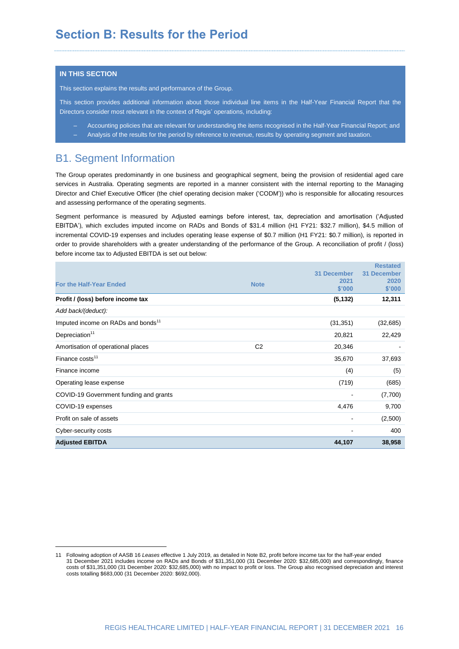#### **IN THIS SECTION**

<u>.</u>

This section explains the results and performance of the Group.

This section provides additional information about those individual line items in the Half-Year Financial Report that the Directors consider most relevant in the context of Regis' operations, including:

‒ Accounting policies that are relevant for understanding the items recognised in the Half-Year Financial Report; and ‒ Analysis of the results for the period by reference to revenue, results by operating segment and taxation.

### B1. Segment Information

The Group operates predominantly in one business and geographical segment, being the provision of residential aged care services in Australia. Operating segments are reported in a manner consistent with the internal reporting to the Managing Director and Chief Executive Officer (the chief operating decision maker ('CODM')) who is responsible for allocating resources and assessing performance of the operating segments.

Segment performance is measured by Adjusted earnings before interest, tax, depreciation and amortisation ('Adjusted EBITDA'), which excludes imputed income on RADs and Bonds of \$31.4 million (H1 FY21: \$32.7 million), \$4.5 million of incremental COVID-19 expenses and includes operating lease expense of \$0.7 million (H1 FY21: \$0.7 million), is reported in order to provide shareholders with a greater understanding of the performance of the Group. A reconciliation of profit / (loss) before income tax to Adjusted EBITDA is set out below:

|                                                |                |             | <b>Restated</b> |
|------------------------------------------------|----------------|-------------|-----------------|
|                                                |                | 31 December | 31 December     |
| <b>For the Half-Year Ended</b>                 | <b>Note</b>    | 2021        | 2020            |
|                                                |                | \$'000      | \$'000          |
| Profit / (loss) before income tax              |                | (5, 132)    | 12,311          |
| Add back/(deduct):                             |                |             |                 |
| Imputed income on RADs and bonds <sup>11</sup> |                | (31, 351)   | (32, 685)       |
| Depreciation <sup>11</sup>                     |                | 20,821      | 22,429          |
| Amortisation of operational places             | C <sub>2</sub> | 20,346      |                 |
| Finance costs <sup>11</sup>                    |                | 35,670      | 37,693          |
| Finance income                                 |                | (4)         | (5)             |
| Operating lease expense                        |                | (719)       | (685)           |
| COVID-19 Government funding and grants         |                |             | (7,700)         |
| COVID-19 expenses                              |                | 4,476       | 9,700           |
| Profit on sale of assets                       |                |             | (2,500)         |
| Cyber-security costs                           |                | ۰           | 400             |
| <b>Adjusted EBITDA</b>                         |                | 44,107      | 38,958          |

<sup>11</sup> Following adoption of AASB 16 *Leases* effective 1 July 2019, as detailed in Note B2, profit before income tax for the half-year ended 31 December 2021 includes income on RADs and Bonds of \$31,351,000 (31 December 2020: \$32,685,000) and correspondingly, finance costs of \$31,351,000 (31 December 2020: \$32,685,000) with no impact to profit or loss. The Group also recognised depreciation and interest costs totalling \$683,000 (31 December 2020: \$692,000).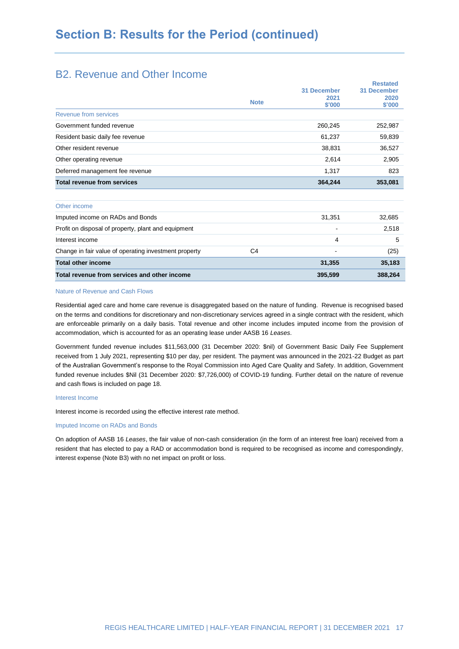## B2. Revenue and Other Income

|                                                       |                |                    | <b>Restated</b> |
|-------------------------------------------------------|----------------|--------------------|-----------------|
|                                                       |                | <b>31 December</b> | 31 December     |
|                                                       |                | 2021               | 2020            |
|                                                       | <b>Note</b>    | \$'000             | \$'000          |
| Revenue from services                                 |                |                    |                 |
| Government funded revenue                             |                | 260,245            | 252,987         |
| Resident basic daily fee revenue                      |                | 61,237             | 59,839          |
| Other resident revenue                                |                | 38,831             | 36,527          |
| Other operating revenue                               |                | 2,614              | 2,905           |
| Deferred management fee revenue                       |                | 1,317              | 823             |
| <b>Total revenue from services</b>                    |                | 364,244            | 353,081         |
|                                                       |                |                    |                 |
| Other income                                          |                |                    |                 |
| Imputed income on RADs and Bonds                      |                | 31,351             | 32,685          |
| Profit on disposal of property, plant and equipment   |                |                    | 2,518           |
| Interest income                                       |                | 4                  | 5               |
| Change in fair value of operating investment property | C <sub>4</sub> |                    | (25)            |
| <b>Total other income</b>                             |                | 31,355             | 35,183          |
| Total revenue from services and other income          |                | 395,599            | 388,264         |
|                                                       |                |                    |                 |

#### Nature of Revenue and Cash Flows

Residential aged care and home care revenue is disaggregated based on the nature of funding. Revenue is recognised based on the terms and conditions for discretionary and non-discretionary services agreed in a single contract with the resident, which are enforceable primarily on a daily basis. Total revenue and other income includes imputed income from the provision of accommodation, which is accounted for as an operating lease under AASB 16 *Leases*.

Government funded revenue includes \$11,563,000 (31 December 2020: \$nil) of Government Basic Daily Fee Supplement received from 1 July 2021, representing \$10 per day, per resident. The payment was announced in the 2021-22 Budget as part of the Australian Government's response to the Royal Commission into Aged Care Quality and Safety. In addition, Government funded revenue includes \$Nil (31 December 2020: \$7,726,000) of COVID-19 funding. Further detail on the nature of revenue and cash flows is included on page 18.

#### Interest Income

Interest income is recorded using the effective interest rate method.

#### Imputed Income on RADs and Bonds

On adoption of AASB 16 *Leases*, the fair value of non-cash consideration (in the form of an interest free loan) received from a resident that has elected to pay a RAD or accommodation bond is required to be recognised as income and correspondingly, interest expense (Note B3) with no net impact on profit or loss.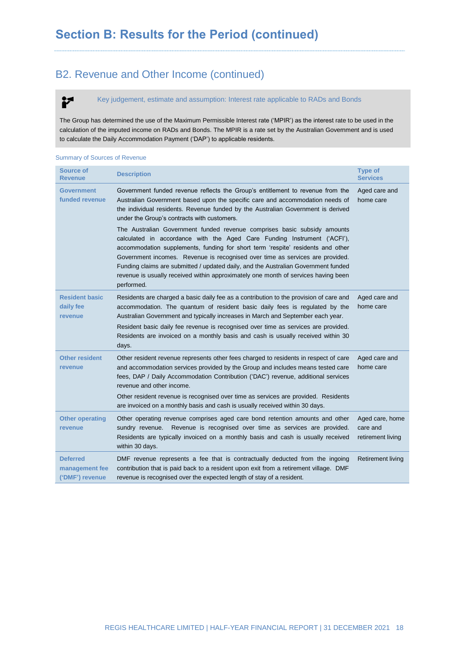# B2. Revenue and Other Income (continued)

Key judgement, estimate and assumption: Interest rate applicable to RADs and Bonds

The Group has determined the use of the Maximum Permissible Interest rate ('MPIR') as the interest rate to be used in the calculation of the imputed income on RADs and Bonds. The MPIR is a rate set by the Australian Government and is used to calculate the Daily Accommodation Payment ('DAP') to applicable residents.

#### Summary of Sources of Revenue

P

| <b>Source of</b><br>Revenue                          | <b>Description</b>                                                                                                                                                                                                                                                                                                                                                                                                                                                                                                                                                                                                                                                                                                                                                                                                       | <b>Type of</b><br><b>Services</b>                |
|------------------------------------------------------|--------------------------------------------------------------------------------------------------------------------------------------------------------------------------------------------------------------------------------------------------------------------------------------------------------------------------------------------------------------------------------------------------------------------------------------------------------------------------------------------------------------------------------------------------------------------------------------------------------------------------------------------------------------------------------------------------------------------------------------------------------------------------------------------------------------------------|--------------------------------------------------|
| <b>Government</b><br>funded revenue                  | Government funded revenue reflects the Group's entitlement to revenue from the<br>Australian Government based upon the specific care and accommodation needs of<br>the individual residents. Revenue funded by the Australian Government is derived<br>under the Group's contracts with customers.<br>The Australian Government funded revenue comprises basic subsidy amounts<br>calculated in accordance with the Aged Care Funding Instrument ('ACFI'),<br>accommodation supplements, funding for short term 'respite' residents and other<br>Government incomes. Revenue is recognised over time as services are provided.<br>Funding claims are submitted / updated daily, and the Australian Government funded<br>revenue is usually received within approximately one month of services having been<br>performed. | Aged care and<br>home care                       |
| <b>Resident basic</b><br>daily fee<br>revenue        | Residents are charged a basic daily fee as a contribution to the provision of care and<br>accommodation. The quantum of resident basic daily fees is regulated by the<br>Australian Government and typically increases in March and September each year.<br>Resident basic daily fee revenue is recognised over time as services are provided.<br>Residents are invoiced on a monthly basis and cash is usually received within 30<br>days.                                                                                                                                                                                                                                                                                                                                                                              | Aged care and<br>home care                       |
| <b>Other resident</b><br>revenue                     | Other resident revenue represents other fees charged to residents in respect of care<br>and accommodation services provided by the Group and includes means tested care<br>fees, DAP / Daily Accommodation Contribution ('DAC') revenue, additional services<br>revenue and other income.<br>Other resident revenue is recognised over time as services are provided. Residents<br>are invoiced on a monthly basis and cash is usually received within 30 days.                                                                                                                                                                                                                                                                                                                                                          | Aged care and<br>home care                       |
| <b>Other operating</b><br>revenue                    | Other operating revenue comprises aged care bond retention amounts and other<br>Revenue is recognised over time as services are provided.<br>sundry revenue.<br>Residents are typically invoiced on a monthly basis and cash is usually received<br>within 30 days.                                                                                                                                                                                                                                                                                                                                                                                                                                                                                                                                                      | Aged care, home<br>care and<br>retirement living |
| <b>Deferred</b><br>management fee<br>('DMF') revenue | DMF revenue represents a fee that is contractually deducted from the ingoing<br>contribution that is paid back to a resident upon exit from a retirement village. DMF<br>revenue is recognised over the expected length of stay of a resident.                                                                                                                                                                                                                                                                                                                                                                                                                                                                                                                                                                           | <b>Retirement living</b>                         |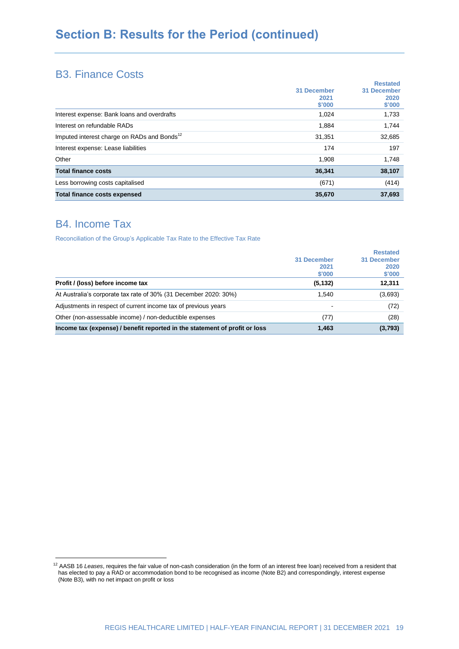# **Section B: Results for the Period (continued)**

### B3. Finance Costs

|                                                                   | <b>Restated</b>    |  |
|-------------------------------------------------------------------|--------------------|--|
| 31 December                                                       | <b>31 December</b> |  |
| 2021                                                              | 2020               |  |
| \$'000                                                            | \$'000             |  |
| Interest expense: Bank loans and overdrafts<br>1,024              | 1,733              |  |
| Interest on refundable RADs<br>1,884                              | 1,744              |  |
| Imputed interest charge on RADs and Bonds <sup>12</sup><br>31,351 | 32,685             |  |
| Interest expense: Lease liabilities<br>174                        | 197                |  |
| Other<br>1,908                                                    | 1,748              |  |
| <b>Total finance costs</b><br>36,341                              | 38,107             |  |
| Less borrowing costs capitalised<br>(671)                         | (414)              |  |
| <b>Total finance costs expensed</b><br>35,670                     | 37,693             |  |

# B4. Income Tax

<u>.</u>

Reconciliation of the Group's Applicable Tax Rate to the Effective Tax Rate

|                                                                            |             | <b>Restated</b>    |
|----------------------------------------------------------------------------|-------------|--------------------|
|                                                                            | 31 December | <b>31 December</b> |
|                                                                            | 2021        | 2020               |
|                                                                            | \$'000      | \$'000             |
| Profit / (loss) before income tax                                          | (5, 132)    | 12,311             |
| At Australia's corporate tax rate of 30% (31 December 2020: 30%)           | 1,540       | (3,693)            |
| Adjustments in respect of current income tax of previous years             |             | (72)               |
| Other (non-assessable income) / non-deductible expenses                    | (77)        | (28)               |
| Income tax (expense) / benefit reported in the statement of profit or loss | 1,463       | (3,793)            |

<sup>&</sup>lt;sup>12</sup> AASB 16 Leases, requires the fair value of non-cash consideration (in the form of an interest free loan) received from a resident that has elected to pay a RAD or accommodation bond to be recognised as income (Note B2) and correspondingly, interest expense (Note B3), with no net impact on profit or loss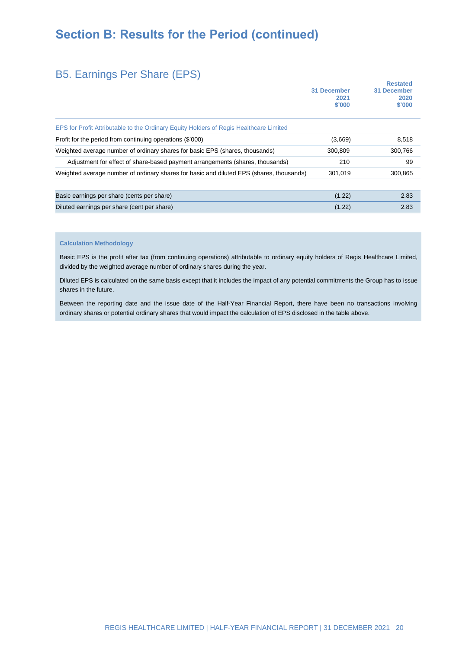# **Section B: Results for the Period (continued)**

# B5. Earnings Per Share (EPS)

|                                                                                          | 31 December    | <b>Restated</b><br>31 December |  |
|------------------------------------------------------------------------------------------|----------------|--------------------------------|--|
|                                                                                          | 2021<br>\$'000 | 2020<br>\$'000                 |  |
| EPS for Profit Attributable to the Ordinary Equity Holders of Regis Healthcare Limited   |                |                                |  |
| Profit for the period from continuing operations (\$'000)                                | (3,669)        | 8,518                          |  |
| Weighted average number of ordinary shares for basic EPS (shares, thousands)             | 300,809        | 300,766                        |  |
| Adjustment for effect of share-based payment arrangements (shares, thousands)            | 210            | 99                             |  |
| Weighted average number of ordinary shares for basic and diluted EPS (shares, thousands) | 301,019        | 300,865                        |  |
|                                                                                          |                |                                |  |
| Basic earnings per share (cents per share)                                               | (1.22)         | 2.83                           |  |
| Diluted earnings per share (cent per share)                                              | (1.22)         | 2.83                           |  |

#### **Calculation Methodology**

Basic EPS is the profit after tax (from continuing operations) attributable to ordinary equity holders of Regis Healthcare Limited, divided by the weighted average number of ordinary shares during the year.

Diluted EPS is calculated on the same basis except that it includes the impact of any potential commitments the Group has to issue shares in the future.

Between the reporting date and the issue date of the Half-Year Financial Report, there have been no transactions involving ordinary shares or potential ordinary shares that would impact the calculation of EPS disclosed in the table above.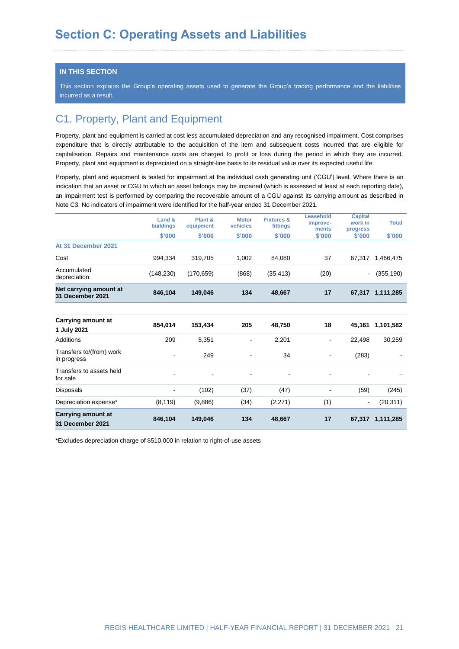#### **IN THIS SECTION**

This section explains the Group's operating assets used to generate the Group's trading performance and the liabilities incurred as a result.

# C1. Property, Plant and Equipment

Property, plant and equipment is carried at cost less accumulated depreciation and any recognised impairment. Cost comprises expenditure that is directly attributable to the acquisition of the item and subsequent costs incurred that are eligible for capitalisation. Repairs and maintenance costs are charged to profit or loss during the period in which they are incurred. Property, plant and equipment is depreciated on a straight-line basis to its residual value over its expected useful life.

Property, plant and equipment is tested for impairment at the individual cash generating unit ('CGU') level. Where there is an indication that an asset or CGU to which an asset belongs may be impaired (which is assessed at least at each reporting date), an impairment test is performed by comparing the recoverable amount of a CGU against its carrying amount as described in Note C3. No indicators of impairment were identified for the half-year ended 31 December 2021.

|                                            | Land &<br>buildings | Plant &<br>equipment | <b>Motor</b><br>vehicles | <b>Fixtures &amp;</b><br>fittings | Leasehold<br>improve-<br>ments | <b>Capital</b><br>work in<br>progress | <b>Total</b>     |
|--------------------------------------------|---------------------|----------------------|--------------------------|-----------------------------------|--------------------------------|---------------------------------------|------------------|
|                                            | \$'000              | \$'000               | \$'000                   | \$'000                            | \$'000                         | \$'000                                | \$'000           |
| At 31 December 2021                        |                     |                      |                          |                                   |                                |                                       |                  |
| Cost                                       | 994,334             | 319,705              | 1,002                    | 84,080                            | 37                             | 67,317                                | 1,466,475        |
| Accumulated<br>depreciation                | (148, 230)          | (170, 659)           | (868)                    | (35, 413)                         | (20)                           | $\blacksquare$                        | (355, 190)       |
| Net carrying amount at<br>31 December 2021 | 846,104             | 149,046              | 134                      | 48,667                            | 17                             |                                       | 67,317 1,111,285 |
|                                            |                     |                      |                          |                                   |                                |                                       |                  |
| Carrying amount at<br>1 July 2021          | 854,014             | 153,434              | 205                      | 48,750                            | 18                             | 45,161                                | 1,101,582        |
| <b>Additions</b>                           | 209                 | 5,351                |                          | 2,201                             | $\overline{\phantom{0}}$       | 22,498                                | 30,259           |
| Transfers to/(from) work<br>in progress    | $\blacksquare$      | 249                  | $\blacksquare$           | 34                                |                                | (283)                                 |                  |
| Transfers to assets held<br>for sale       | ٠                   |                      |                          |                                   |                                |                                       |                  |
| <b>Disposals</b>                           | -                   | (102)                | (37)                     | (47)                              |                                | (59)                                  | (245)            |
| Depreciation expense*                      | (8, 119)            | (9,886)              | (34)                     | (2,271)                           | (1)                            | $\blacksquare$                        | (20, 311)        |
| Carrying amount at<br>31 December 2021     | 846.104             | 149,046              | 134                      | 48,667                            | 17                             | 67,317                                | 1,111,285        |

\*Excludes depreciation charge of \$510,000 in relation to right-of-use assets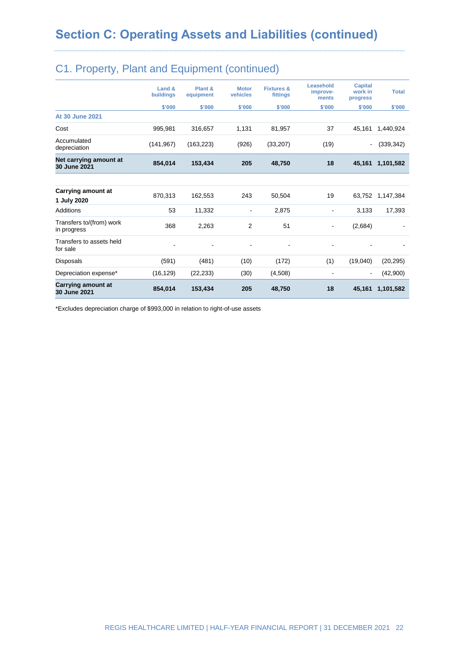| Depreciation expense*<br>Carrying amount at<br>30 June 2021 | (16, 129)<br>854,014       | (22, 233)<br>153,434 | (30)<br>205              | (4,508)<br>48,750                 | $\overline{\phantom{a}}$<br>18 | $\blacksquare$<br>45,161              | (42,900)<br>1,101,582 |
|-------------------------------------------------------------|----------------------------|----------------------|--------------------------|-----------------------------------|--------------------------------|---------------------------------------|-----------------------|
| Disposals                                                   | (591)                      | (481)                | (10)                     | (172)                             | (1)                            | (19,040)                              | (20, 295)             |
| Transfers to assets held<br>for sale                        |                            |                      | ۰                        | -                                 |                                |                                       |                       |
| Transfers to/(from) work<br>in progress                     | 368                        | 2,263                | 2                        | 51                                |                                | (2,684)                               |                       |
| Additions                                                   | 53                         | 11,332               | ۰                        | 2,875                             |                                | 3,133                                 | 17,393                |
| Carrying amount at<br>1 July 2020                           | 870,313                    | 162,553              | 243                      | 50,504                            | 19                             | 63,752                                | 1,147,384             |
| Net carrying amount at<br>30 June 2021                      | 854,014                    | 153,434              | 205                      | 48,750                            | 18                             | 45,161                                | 1,101,582             |
| Accumulated<br>depreciation                                 | (141, 967)                 | (163, 223)           | (926)                    | (33, 207)                         | (19)                           | $\blacksquare$                        | (339, 342)            |
| Cost                                                        | 995,981                    | 316,657              | 1,131                    | 81,957                            | 37                             | 45,161                                | 1,440,924             |
| <b>At 30 June 2021</b>                                      |                            |                      |                          |                                   |                                |                                       |                       |
|                                                             | \$'000                     | \$'000               | \$'000                   | \$'000                            | \$'000                         | \$'000                                | \$'000                |
|                                                             | Land &<br><b>buildings</b> | Plant &<br>equipment | <b>Motor</b><br>vehicles | <b>Fixtures &amp;</b><br>fittings | Leasehold<br>improve-<br>ments | <b>Capital</b><br>work in<br>progress | <b>Total</b>          |

# C1. Property, Plant and Equipment (continued)

\*Excludes depreciation charge of \$993,000 in relation to right-of-use assets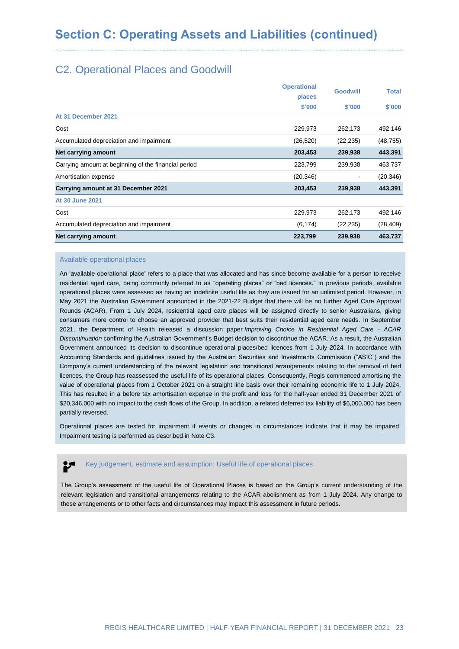# C2. Operational Places and Goodwill

|                                                      | <b>Operational</b> | <b>Goodwill</b> | <b>Total</b> |
|------------------------------------------------------|--------------------|-----------------|--------------|
|                                                      | places             |                 |              |
|                                                      | \$'000             | \$'000          | \$'000       |
| At 31 December 2021                                  |                    |                 |              |
| Cost                                                 | 229,973            | 262,173         | 492,146      |
| Accumulated depreciation and impairment              | (26, 520)          | (22, 235)       | (48, 755)    |
| Net carrying amount                                  | 203,453            | 239,938         | 443,391      |
| Carrying amount at beginning of the financial period | 223,799            | 239,938         | 463,737      |
| Amortisation expense                                 | (20, 346)          |                 | (20, 346)    |
| Carrying amount at 31 December 2021                  | 203,453            | 239,938         | 443,391      |
| At 30 June 2021                                      |                    |                 |              |
| Cost                                                 | 229,973            | 262,173         | 492,146      |
| Accumulated depreciation and impairment              | (6, 174)           | (22, 235)       | (28, 409)    |
| Net carrying amount                                  | 223,799            | 239,938         | 463,737      |

#### Available operational places

An 'available operational place' refers to a place that was allocated and has since become available for a person to receive residential aged care, being commonly referred to as "operating places" or "bed licences." In previous periods, available operational places were assessed as having an indefinite useful life as they are issued for an unlimited period. However, in May 2021 the Australian Government announced in the 2021-22 Budget that there will be no further Aged Care Approval Rounds (ACAR). From 1 July 2024, residential aged care places will be assigned directly to senior Australians, giving consumers more control to choose an approved provider that best suits their residential aged care needs. In September 2021, the Department of Health released a discussion paper *Improving Choice in Residential Aged Care - ACAR Discontinuation* confirming the Australian Government's Budget decision to discontinue the ACAR. As a result, the Australian Government announced its decision to discontinue operational places/bed licences from 1 July 2024. In accordance with Accounting Standards and guidelines issued by the Australian Securities and Investments Commission ("ASIC") and the Company's current understanding of the relevant legislation and transitional arrangements relating to the removal of bed licences, the Group has reassessed the useful life of its operational places. Consequently, Regis commenced amortising the value of operational places from 1 October 2021 on a straight line basis over their remaining economic life to 1 July 2024. This has resulted in a before tax amortisation expense in the profit and loss for the half-year ended 31 December 2021 of \$20,346,000 with no impact to the cash flows of the Group. In addition, a related deferred tax liability of \$6,000,000 has been partially reversed.

Operational places are tested for impairment if events or changes in circumstances indicate that it may be impaired. Impairment testing is performed as described in Note C3.

### Key judgement, estimate and assumption: Useful life of operational places

The Group's assessment of the useful life of Operational Places is based on the Group's current understanding of the relevant legislation and transitional arrangements relating to the ACAR abolishment as from 1 July 2024. Any change to these arrangements or to other facts and circumstances may impact this assessment in future periods.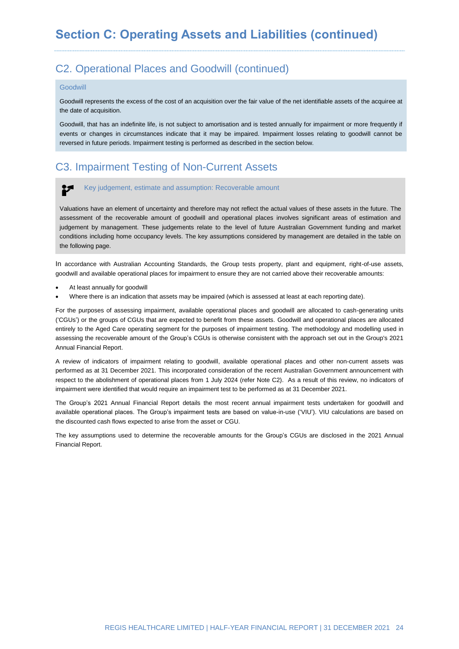# C2. Operational Places and Goodwill (continued)

#### **Goodwill**

Goodwill represents the excess of the cost of an acquisition over the fair value of the net identifiable assets of the acquiree at the date of acquisition.

Goodwill, that has an indefinite life, is not subject to amortisation and is tested annually for impairment or more frequently if events or changes in circumstances indicate that it may be impaired. Impairment losses relating to goodwill cannot be reversed in future periods. Impairment testing is performed as described in the section below.

# C3. Impairment Testing of Non-Current Assets

#### $\mathbf{r}$ Key judgement, estimate and assumption: Recoverable amount

Valuations have an element of uncertainty and therefore may not reflect the actual values of these assets in the future. The assessment of the recoverable amount of goodwill and operational places involves significant areas of estimation and judgement by management. These judgements relate to the level of future Australian Government funding and market conditions including home occupancy levels. The key assumptions considered by management are detailed in the table on the following page.

In accordance with Australian Accounting Standards, the Group tests property, plant and equipment, right-of-use assets, goodwill and available operational places for impairment to ensure they are not carried above their recoverable amounts:

- At least annually for goodwill
- Where there is an indication that assets may be impaired (which is assessed at least at each reporting date).

For the purposes of assessing impairment, available operational places and goodwill are allocated to cash-generating units ('CGUs') or the groups of CGUs that are expected to benefit from these assets. Goodwill and operational places are allocated entirely to the Aged Care operating segment for the purposes of impairment testing. The methodology and modelling used in assessing the recoverable amount of the Group's CGUs is otherwise consistent with the approach set out in the Group's 2021 Annual Financial Report.

A review of indicators of impairment relating to goodwill, available operational places and other non-current assets was performed as at 31 December 2021. This incorporated consideration of the recent Australian Government announcement with respect to the abolishment of operational places from 1 July 2024 (refer Note C2). As a result of this review, no indicators of impairment were identified that would require an impairment test to be performed as at 31 December 2021.

The Group's 2021 Annual Financial Report details the most recent annual impairment tests undertaken for goodwill and available operational places. The Group's impairment tests are based on value-in-use ('VIU'). VIU calculations are based on the discounted cash flows expected to arise from the asset or CGU.

The key assumptions used to determine the recoverable amounts for the Group's CGUs are disclosed in the 2021 Annual Financial Report.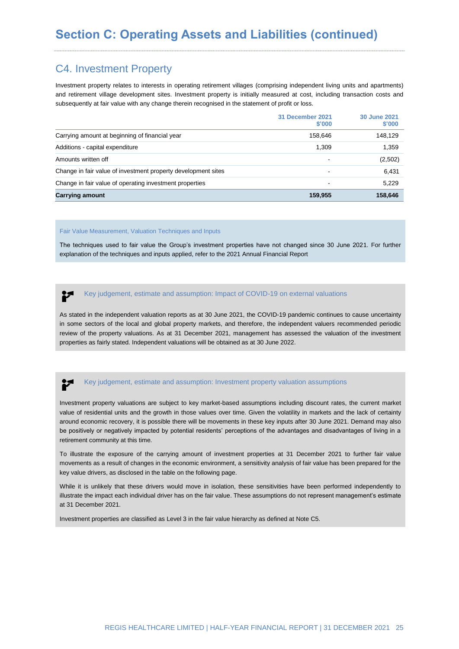# C4. Investment Property

Investment property relates to interests in operating retirement villages (comprising independent living units and apartments) and retirement village development sites. Investment property is initially measured at cost, including transaction costs and subsequently at fair value with any change therein recognised in the statement of profit or loss.

|                                                               | 31 December 2021<br>\$'000 | 30 June 2021<br>\$'000 |
|---------------------------------------------------------------|----------------------------|------------------------|
| Carrying amount at beginning of financial year                | 158.646                    | 148,129                |
| Additions - capital expenditure                               | 1,309                      | 1,359                  |
| Amounts written off                                           | ٠                          | (2,502)                |
| Change in fair value of investment property development sites |                            | 6,431                  |
| Change in fair value of operating investment properties       | $\overline{\phantom{a}}$   | 5,229                  |
| <b>Carrying amount</b>                                        | 159.955                    | 158,646                |

#### Fair Value Measurement, Valuation Techniques and Inputs

The techniques used to fair value the Group's investment properties have not changed since 30 June 2021. For further explanation of the techniques and inputs applied, refer to the 2021 Annual Financial Report

#### $\mathbf{r}$ Key judgement, estimate and assumption: Impact of COVID-19 on external valuations

As stated in the independent valuation reports as at 30 June 2021, the COVID-19 pandemic continues to cause uncertainty in some sectors of the local and global property markets, and therefore, the independent valuers recommended periodic review of the property valuations. As at 31 December 2021, management has assessed the valuation of the investment properties as fairly stated. Independent valuations will be obtained as at 30 June 2022.

### Key judgement, estimate and assumption: Investment property valuation assumptions

Investment property valuations are subject to key market-based assumptions including discount rates, the current market value of residential units and the growth in those values over time. Given the volatility in markets and the lack of certainty around economic recovery, it is possible there will be movements in these key inputs after 30 June 2021. Demand may also be positively or negatively impacted by potential residents' perceptions of the advantages and disadvantages of living in a retirement community at this time.

To illustrate the exposure of the carrying amount of investment properties at 31 December 2021 to further fair value movements as a result of changes in the economic environment, a sensitivity analysis of fair value has been prepared for the key value drivers, as disclosed in the table on the following page.

While it is unlikely that these drivers would move in isolation, these sensitivities have been performed independently to illustrate the impact each individual driver has on the fair value. These assumptions do not represent management's estimate at 31 December 2021.

Investment properties are classified as Level 3 in the fair value hierarchy as defined at Note C5.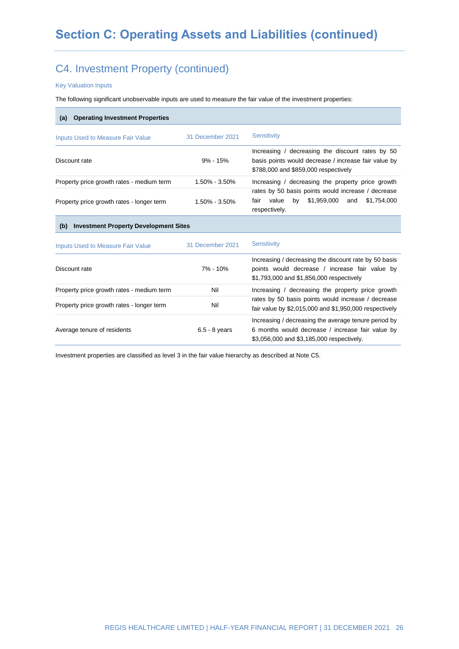# C4. Investment Property (continued)

Key Valuation Inputs

The following significant unobservable inputs are used to measure the fair value of the investment properties:

| 31 December 2021                             | <b>Sensitivity</b>                                                                                                                                    |
|----------------------------------------------|-------------------------------------------------------------------------------------------------------------------------------------------------------|
| $9\% - 15\%$                                 | Increasing / decreasing the discount rates by 50<br>basis points would decrease / increase fair value by<br>\$788,000 and \$859,000 respectively      |
| 1.50% - 3.50%                                | Increasing / decreasing the property price growth                                                                                                     |
| $1.50\% - 3.50\%$                            | rates by 50 basis points would increase / decrease<br>by \$1,959,000<br>value<br>\$1,754,000<br>fair<br>and<br>respectively.                          |
| <b>Investment Property Development Sites</b> |                                                                                                                                                       |
| 31 December 2021                             | <b>Sensitivity</b>                                                                                                                                    |
| $7\% - 10\%$                                 | Increasing / decreasing the discount rate by 50 basis<br>points would decrease / increase fair value by<br>\$1,793,000 and \$1,856,000 respectively   |
| Nil                                          | Increasing / decreasing the property price growth                                                                                                     |
| Nil                                          | rates by 50 basis points would increase / decrease<br>fair value by \$2,015,000 and \$1,950,000 respectively                                          |
| $6.5 - 8$ years                              | Increasing / decreasing the average tenure period by<br>6 months would decrease / increase fair value by<br>\$3,056,000 and \$3,185,000 respectively. |
|                                              |                                                                                                                                                       |

Investment properties are classified as level 3 in the fair value hierarchy as described at Note C5.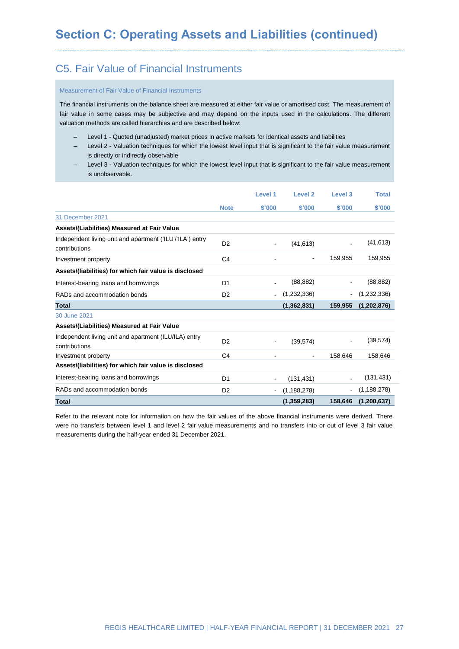# C5. Fair Value of Financial Instruments

#### Measurement of Fair Value of Financial Instruments

The financial instruments on the balance sheet are measured at either fair value or amortised cost. The measurement of fair value in some cases may be subjective and may depend on the inputs used in the calculations. The different valuation methods are called hierarchies and are described below:

- ‒ Level 1 Quoted (unadjusted) market prices in active markets for identical assets and liabilities
- Level 2 Valuation techniques for which the lowest level input that is significant to the fair value measurement is directly or indirectly observable
- ‒ Level 3 Valuation techniques for which the lowest level input that is significant to the fair value measurement is unobservable.

|                                                                            |                | Level 1                  | Level <sub>2</sub> | Level 3        | <b>Total</b>  |
|----------------------------------------------------------------------------|----------------|--------------------------|--------------------|----------------|---------------|
|                                                                            | <b>Note</b>    | \$'000                   | \$'000             | \$'000         | \$'000        |
| 31 December 2021                                                           |                |                          |                    |                |               |
| Assets/(Liabilities) Measured at Fair Value                                |                |                          |                    |                |               |
| Independent living unit and apartment ('ILU'/'ILA') entry<br>contributions | D <sub>2</sub> | $\overline{\phantom{a}}$ | (41, 613)          |                | (41, 613)     |
| Investment property                                                        | C <sub>4</sub> | $\blacksquare$           |                    | 159.955        | 159,955       |
| Assets/(liabilities) for which fair value is disclosed                     |                |                          |                    |                |               |
| Interest-bearing loans and borrowings                                      | D <sub>1</sub> | $\blacksquare$           | (88, 882)          |                | (88, 882)     |
| RADs and accommodation bonds                                               | D <sub>2</sub> | $\blacksquare$           | (1,232,336)        | $\blacksquare$ | (1,232,336)   |
| <b>Total</b>                                                               |                |                          | (1,362,831)        | 159,955        | (1,202,876)   |
| 30 June 2021                                                               |                |                          |                    |                |               |
| Assets/(Liabilities) Measured at Fair Value                                |                |                          |                    |                |               |
| Independent living unit and apartment (ILU/ILA) entry<br>contributions     | D <sub>2</sub> | $\blacksquare$           | (39, 574)          | $\blacksquare$ | (39, 574)     |
| Investment property                                                        | C <sub>4</sub> |                          |                    | 158,646        | 158,646       |
| Assets/(liabilities) for which fair value is disclosed                     |                |                          |                    |                |               |
| Interest-bearing loans and borrowings                                      | D <sub>1</sub> | $\blacksquare$           | (131, 431)         |                | (131, 431)    |
| RADs and accommodation bonds                                               | D <sub>2</sub> | $\blacksquare$           | (1, 188, 278)      |                | (1, 188, 278) |
| <b>Total</b>                                                               |                |                          | (1,359,283)        | 158,646        | (1, 200, 637) |

Refer to the relevant note for information on how the fair values of the above financial instruments were derived. There were no transfers between level 1 and level 2 fair value measurements and no transfers into or out of level 3 fair value measurements during the half-year ended 31 December 2021.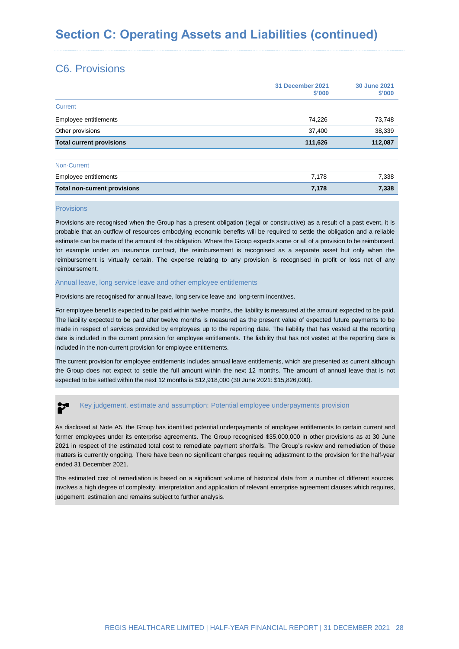# C6. Provisions

|                                     | 31 December 2021<br>\$'000 | <b>30 June 2021</b><br>\$'000 |
|-------------------------------------|----------------------------|-------------------------------|
| Current                             |                            |                               |
| Employee entitlements               | 74,226                     | 73,748                        |
| Other provisions                    | 37,400                     | 38,339                        |
| <b>Total current provisions</b>     | 111,626                    | 112,087                       |
| Non-Current                         |                            |                               |
| Employee entitlements               | 7,178                      | 7,338                         |
| <b>Total non-current provisions</b> | 7,178                      | 7,338                         |

#### Provisions

Provisions are recognised when the Group has a present obligation (legal or constructive) as a result of a past event, it is probable that an outflow of resources embodying economic benefits will be required to settle the obligation and a reliable estimate can be made of the amount of the obligation. Where the Group expects some or all of a provision to be reimbursed, for example under an insurance contract, the reimbursement is recognised as a separate asset but only when the reimbursement is virtually certain. The expense relating to any provision is recognised in profit or loss net of any reimbursement.

#### Annual leave, long service leave and other employee entitlements

Provisions are recognised for annual leave, long service leave and long-term incentives.

For employee benefits expected to be paid within twelve months, the liability is measured at the amount expected to be paid. The liability expected to be paid after twelve months is measured as the present value of expected future payments to be made in respect of services provided by employees up to the reporting date. The liability that has vested at the reporting date is included in the current provision for employee entitlements. The liability that has not vested at the reporting date is included in the non-current provision for employee entitlements.

The current provision for employee entitlements includes annual leave entitlements, which are presented as current although the Group does not expect to settle the full amount within the next 12 months. The amount of annual leave that is not expected to be settled within the next 12 months is \$12,918,000 (30 June 2021: \$15,826,000).

#### Key judgement, estimate and assumption: Potential employee underpayments provision

As disclosed at Note A5, the Group has identified potential underpayments of employee entitlements to certain current and former employees under its enterprise agreements. The Group recognised \$35,000,000 in other provisions as at 30 June 2021 in respect of the estimated total cost to remediate payment shortfalls. The Group's review and remediation of these matters is currently ongoing. There have been no significant changes requiring adjustment to the provision for the half-year ended 31 December 2021.

The estimated cost of remediation is based on a significant volume of historical data from a number of different sources. involves a high degree of complexity, interpretation and application of relevant enterprise agreement clauses which requires, judgement, estimation and remains subject to further analysis.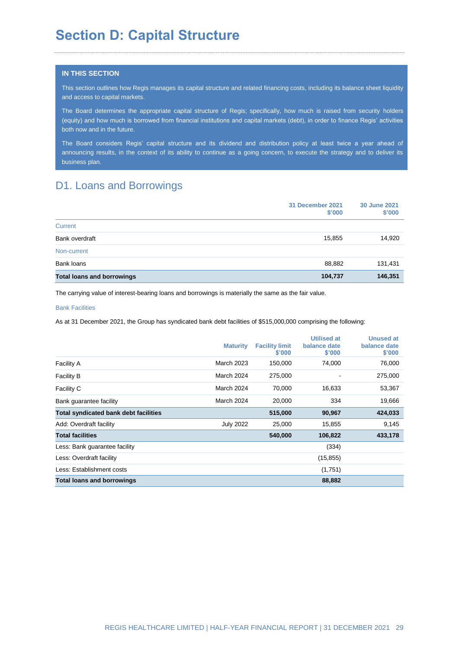# **Section D: Capital Structure**

#### **IN THIS SECTION**

This section outlines how Regis manages its capital structure and related financing costs, including its balance sheet liquidity and access to capital markets.

The Board determines the appropriate capital structure of Regis; specifically, how much is raised from security holders (equity) and how much is borrowed from financial institutions and capital markets (debt), in order to finance Regis' activities both now and in the future.

The Board considers Regis' capital structure and its dividend and distribution policy at least twice a year ahead of announcing results, in the context of its ability to continue as a going concern, to execute the strategy and to deliver its business plan.

# D1. Loans and Borrowings

|                                   | 31 December 2021<br>\$'000 | <b>30 June 2021</b><br>\$'000 |
|-----------------------------------|----------------------------|-------------------------------|
| Current                           |                            |                               |
| Bank overdraft                    | 15,855                     | 14,920                        |
| Non-current                       |                            |                               |
| Bank loans                        | 88,882                     | 131,431                       |
| <b>Total loans and borrowings</b> | 104,737                    | 146,351                       |

The carrying value of interest-bearing loans and borrowings is materially the same as the fair value.

#### Bank Facilities

As at 31 December 2021, the Group has syndicated bank debt facilities of \$515,000,000 comprising the following:

|                                              | <b>Maturity</b>  | <b>Facility limit</b><br>\$'000 | <b>Utilised at</b><br>balance date<br>\$'000 | <b>Unused at</b><br>balance date<br>\$'000 |
|----------------------------------------------|------------------|---------------------------------|----------------------------------------------|--------------------------------------------|
| <b>Facility A</b>                            | March 2023       | 150,000                         | 74,000                                       | 76,000                                     |
| <b>Facility B</b>                            | March 2024       | 275,000                         |                                              | 275,000                                    |
| Facility C                                   | March 2024       | 70,000                          | 16,633                                       | 53,367                                     |
| Bank guarantee facility                      | March 2024       | 20,000                          | 334                                          | 19,666                                     |
| <b>Total syndicated bank debt facilities</b> |                  | 515,000                         | 90,967                                       | 424,033                                    |
| Add: Overdraft facility                      | <b>July 2022</b> | 25,000                          | 15,855                                       | 9,145                                      |
| <b>Total facilities</b>                      |                  | 540,000                         | 106,822                                      | 433,178                                    |
| Less: Bank guarantee facility                |                  |                                 | (334)                                        |                                            |
| Less: Overdraft facility                     |                  |                                 | (15, 855)                                    |                                            |
| Less: Establishment costs                    |                  |                                 | (1,751)                                      |                                            |
| <b>Total loans and borrowings</b>            |                  |                                 | 88,882                                       |                                            |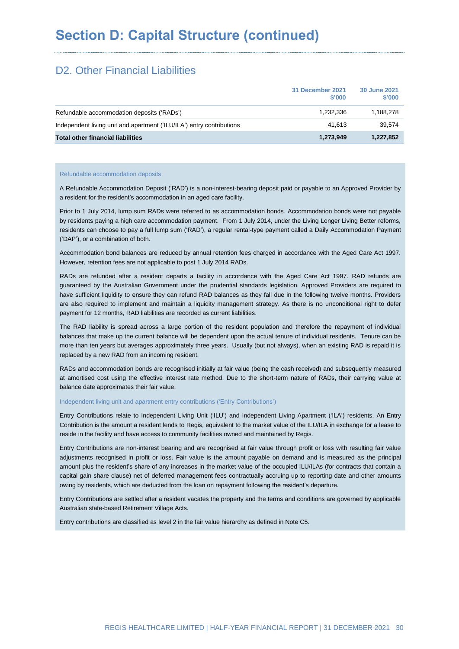# D<sub>2</sub>. Other Financial Liabilities

|                                                                       | 31 December 2021<br>\$'000 | 30 June 2021<br>\$'000 |
|-----------------------------------------------------------------------|----------------------------|------------------------|
| Refundable accommodation deposits ('RADs')                            | 1.232.336                  | 1.188.278              |
| Independent living unit and apartment ('ILU/ILA') entry contributions | 41.613                     | 39.574                 |
| <b>Total other financial liabilities</b>                              | 1,273,949                  | 1,227,852              |

#### Refundable accommodation deposits

A Refundable Accommodation Deposit ('RAD') is a non-interest-bearing deposit paid or payable to an Approved Provider by a resident for the resident's accommodation in an aged care facility.

Prior to 1 July 2014, lump sum RADs were referred to as accommodation bonds. Accommodation bonds were not payable by residents paying a high care accommodation payment. From 1 July 2014, under the Living Longer Living Better reforms, residents can choose to pay a full lump sum ('RAD'), a regular rental-type payment called a Daily Accommodation Payment ('DAP'), or a combination of both.

Accommodation bond balances are reduced by annual retention fees charged in accordance with the Aged Care Act 1997. However, retention fees are not applicable to post 1 July 2014 RADs.

RADs are refunded after a resident departs a facility in accordance with the Aged Care Act 1997. RAD refunds are guaranteed by the Australian Government under the prudential standards legislation. Approved Providers are required to have sufficient liquidity to ensure they can refund RAD balances as they fall due in the following twelve months. Providers are also required to implement and maintain a liquidity management strategy. As there is no unconditional right to defer payment for 12 months, RAD liabilities are recorded as current liabilities.

The RAD liability is spread across a large portion of the resident population and therefore the repayment of individual balances that make up the current balance will be dependent upon the actual tenure of individual residents. Tenure can be more than ten years but averages approximately three years. Usually (but not always), when an existing RAD is repaid it is replaced by a new RAD from an incoming resident.

RADs and accommodation bonds are recognised initially at fair value (being the cash received) and subsequently measured at amortised cost using the effective interest rate method. Due to the short-term nature of RADs, their carrying value at balance date approximates their fair value.

#### Independent living unit and apartment entry contributions ('Entry Contributions')

Entry Contributions relate to Independent Living Unit ('ILU') and Independent Living Apartment ('ILA') residents. An Entry Contribution is the amount a resident lends to Regis, equivalent to the market value of the ILU/ILA in exchange for a lease to reside in the facility and have access to community facilities owned and maintained by Regis.

Entry Contributions are non-interest bearing and are recognised at fair value through profit or loss with resulting fair value adjustments recognised in profit or loss. Fair value is the amount payable on demand and is measured as the principal amount plus the resident's share of any increases in the market value of the occupied ILU/ILAs (for contracts that contain a capital gain share clause) net of deferred management fees contractually accruing up to reporting date and other amounts owing by residents, which are deducted from the loan on repayment following the resident's departure.

Entry Contributions are settled after a resident vacates the property and the terms and conditions are governed by applicable Australian state-based Retirement Village Acts.

Entry contributions are classified as level 2 in the fair value hierarchy as defined in Note C5.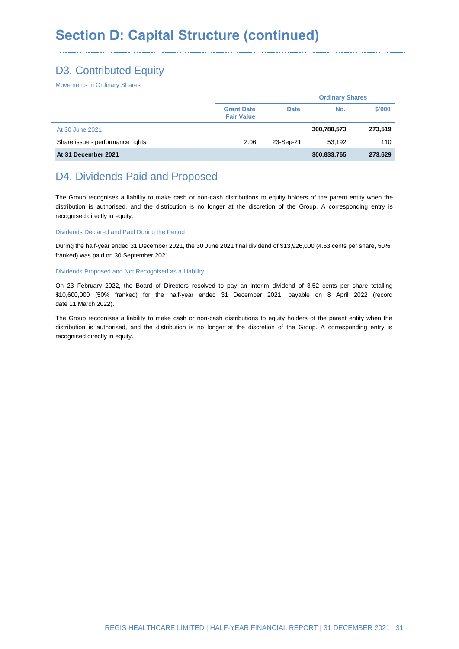# D3. Contributed Equity

Movements in Ordinary Shares

|                                  |                                        |             | <b>Ordinary Shares</b> |         |  |
|----------------------------------|----------------------------------------|-------------|------------------------|---------|--|
|                                  | <b>Grant Date</b><br><b>Fair Value</b> | <b>Date</b> | No.                    | \$'000  |  |
| At 30 June 2021                  |                                        |             | 300,780,573            | 273,519 |  |
| Share issue - performance rights | 2.06                                   | 23-Sep-21   | 53.192                 | 110     |  |
| At 31 December 2021              |                                        |             | 300,833,765            | 273,629 |  |

# D4. Dividends Paid and Proposed

The Group recognises a liability to make cash or non-cash distributions to equity holders of the parent entity when the distribution is authorised, and the distribution is no longer at the discretion of the Group. A corresponding entry is recognised directly in equity.

#### Dividends Declared and Paid During the Period

During the half-year ended 31 December 2021, the 30 June 2021 final dividend of \$13,926,000 (4.63 cents per share, 50% franked) was paid on 30 September 2021.

#### Dividends Proposed and Not Recognised as a Liability

On 23 February 2022, the Board of Directors resolved to pay an interim dividend of 3.52 cents per share totalling \$10,600,000 (50% franked) for the half-year ended 31 December 2021, payable on 8 April 2022 (record date 11 March 2022).

The Group recognises a liability to make cash or non-cash distributions to equity holders of the parent entity when the distribution is authorised, and the distribution is no longer at the discretion of the Group. A corresponding entry is recognised directly in equity.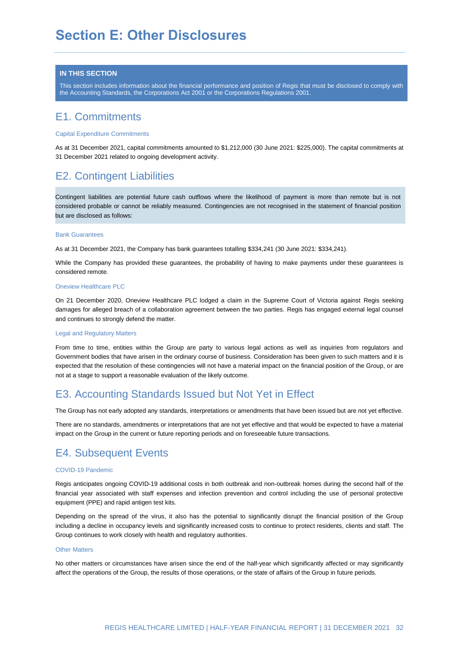# **Section E: Other Disclosures**

#### **IN THIS SECTION**

This section includes information about the financial performance and position of Regis that must be disclosed to comply with the Accounting Standards, the Corporations Act 2001 or the Corporations Regulations 2001.

# E1. Commitments

#### Capital Expenditure Commitments

As at 31 December 2021, capital commitments amounted to \$1,212,000 (30 June 2021: \$225,000). The capital commitments at 31 December 2021 related to ongoing development activity.

# E2. Contingent Liabilities

Contingent liabilities are potential future cash outflows where the likelihood of payment is more than remote but is not considered probable or cannot be reliably measured. Contingencies are not recognised in the statement of financial position but are disclosed as follows:

#### Bank Guarantees

As at 31 December 2021, the Company has bank guarantees totalling \$334,241 (30 June 2021: \$334,241).

While the Company has provided these guarantees, the probability of having to make payments under these guarantees is considered remote.

#### Oneview Healthcare PLC

On 21 December 2020, Oneview Healthcare PLC lodged a claim in the Supreme Court of Victoria against Regis seeking damages for alleged breach of a collaboration agreement between the two parties. Regis has engaged external legal counsel and continues to strongly defend the matter.

#### Legal and Regulatory Matters

From time to time, entities within the Group are party to various legal actions as well as inquiries from regulators and Government bodies that have arisen in the ordinary course of business. Consideration has been given to such matters and it is expected that the resolution of these contingencies will not have a material impact on the financial position of the Group, or are not at a stage to support a reasonable evaluation of the likely outcome.

### E3. Accounting Standards Issued but Not Yet in Effect

The Group has not early adopted any standards, interpretations or amendments that have been issued but are not yet effective.

There are no standards, amendments or interpretations that are not yet effective and that would be expected to have a material impact on the Group in the current or future reporting periods and on foreseeable future transactions.

# E4. Subsequent Events

#### COVID-19 Pandemic

Regis anticipates ongoing COVID-19 additional costs in both outbreak and non-outbreak homes during the second half of the financial year associated with staff expenses and infection prevention and control including the use of personal protective equipment (PPE) and rapid antigen test kits.

Depending on the spread of the virus, it also has the potential to significantly disrupt the financial position of the Group including a decline in occupancy levels and significantly increased costs to continue to protect residents, clients and staff. The Group continues to work closely with health and regulatory authorities.

#### Other Matters

No other matters or circumstances have arisen since the end of the half-year which significantly affected or may significantly affect the operations of the Group, the results of those operations, or the state of affairs of the Group in future periods.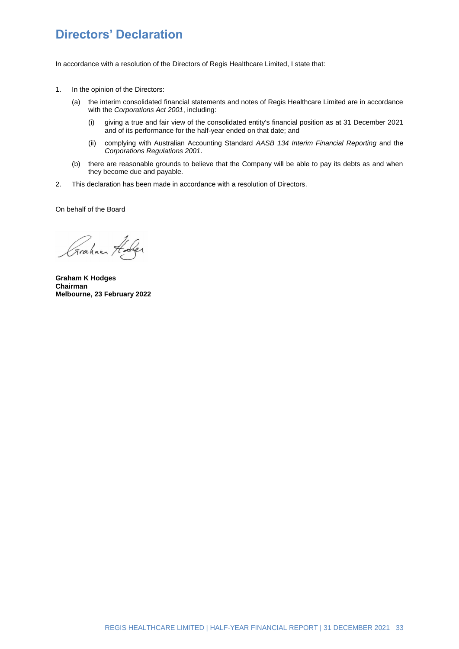# **Directors' Declaration**

In accordance with a resolution of the Directors of Regis Healthcare Limited, I state that:

- 1. In the opinion of the Directors:
	- (a) the interim consolidated financial statements and notes of Regis Healthcare Limited are in accordance with the *Corporations Act 2001*, including:
		- (i) giving a true and fair view of the consolidated entity's financial position as at 31 December 2021 and of its performance for the half-year ended on that date; and
		- (ii) complying with Australian Accounting Standard *AASB 134 Interim Financial Reporting* and the *Corporations Regulations 2001*.
	- (b) there are reasonable grounds to believe that the Company will be able to pay its debts as and when they become due and payable.
- 2. This declaration has been made in accordance with a resolution of Directors.

On behalf of the Board

Graham Holes

**Graham K Hodges Chairman Melbourne, 23 February 2022**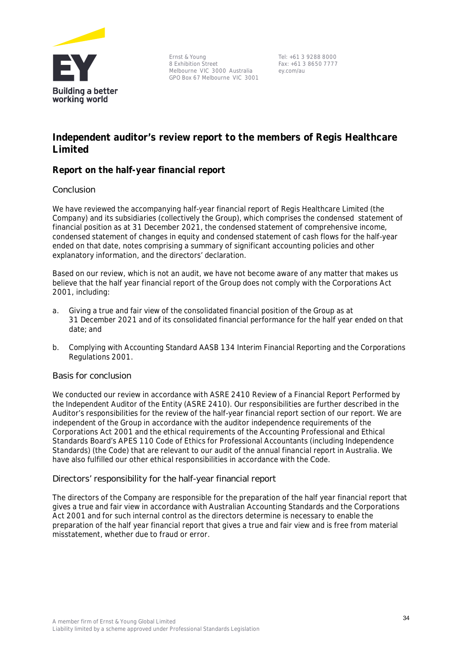

Ernst & Young 8 Exhibition Street Melbourne VIC 3000 Australia GPO Box 67 Melbourne VIC 3001

Tel: +61 3 9288 8000 Fax: +61 3 8650 7777 ey.com/au

# **Independent auditor's review report to the members of Regis Healthcare Limited**

### **Report on the half-year financial report**

### **Conclusion**

We have reviewed the accompanying half-year financial report of Regis Healthcare Limited (the Company) and its subsidiaries (collectively the Group), which comprises the condensed statement of financial position as at 31 December 2021, the condensed statement of comprehensive income, condensed statement of changes in equity and condensed statement of cash flows for the half-year ended on that date, notes comprising a summary of significant accounting policies and other explanatory information, and the directors' declaration.

Based on our review, which is not an audit, we have not become aware of any matter that makes us believe that the half year financial report of the Group does not comply with the Corporations Act 2001, including:

- a. Giving a true and fair view of the consolidated financial position of the Group as at 31 December 2021 and of its consolidated financial performance for the half year ended on that date; and
- b. Complying with Accounting Standard *AASB 134 Interim Financial Reporting and the Corporations Regulations 2001*.

### **Basis for conclusion**

We conducted our review in accordance with ASRE 2410 *Review of a Financial Report Performed by the Independent Auditor of the Entity* (ASRE 2410). Our responsibilities are further described in the *Auditor's responsibilities for the review of the half-year financial report* section of our report. We are independent of the Group in accordance with the auditor independence requirements of the Corporations Act 2001 and the ethical requirements of the Accounting Professional and Ethical Standards Board's APES 110 *Code of Ethics for Professional Accountants (including Independence Standards)* (the Code) that are relevant to our audit of the annual financial report in Australia. We have also fulfilled our other ethical responsibilities in accordance with the Code.

### **Directors' responsibility for the half-year financial report**

The directors of the Company are responsible for the preparation of the half year financial report that gives a true and fair view in accordance with Australian Accounting Standards and the Corporations Act 2001 and for such internal control as the directors determine is necessary to enable the preparation of the half year financial report that gives a true and fair view and is free from material misstatement, whether due to fraud or error.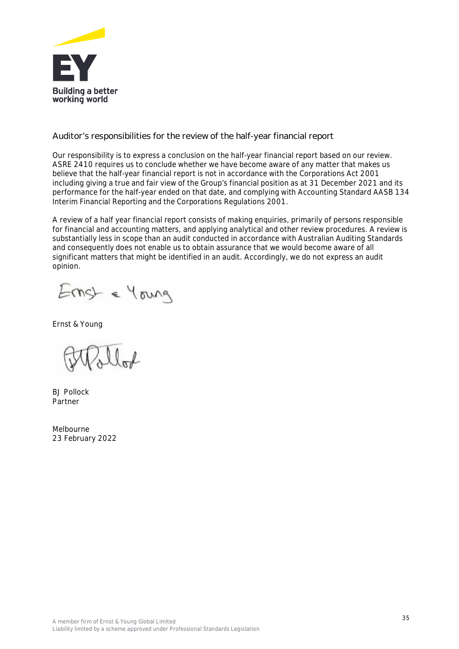

**Auditor's responsibilities for the review of the half-year financial report**

Our responsibility is to express a conclusion on the half-year financial report based on our review. ASRE 2410 requires us to conclude whether we have become aware of any matter that makes us believe that the half-year financial report is not in accordance with the *Corporations Act 2001* including giving a true and fair view of the Group's financial position as at 31 December 2021 and its performance for the half-year ended on that date, and complying with Accounting Standard AASB 134 *Interim Financial Reporting* and the *Corporations Regulations 2001*.

A review of a half year financial report consists of making enquiries, primarily of persons responsible for financial and accounting matters, and applying analytical and other review procedures. A review is substantially less in scope than an audit conducted in accordance with Australian Auditing Standards and consequently does not enable us to obtain assurance that we would become aware of all significant matters that might be identified in an audit. Accordingly, we do not express an audit opinion.

Ernst & Young

Ernst & Young

BJ Pollock Partner

Melbourne 23 February 2022